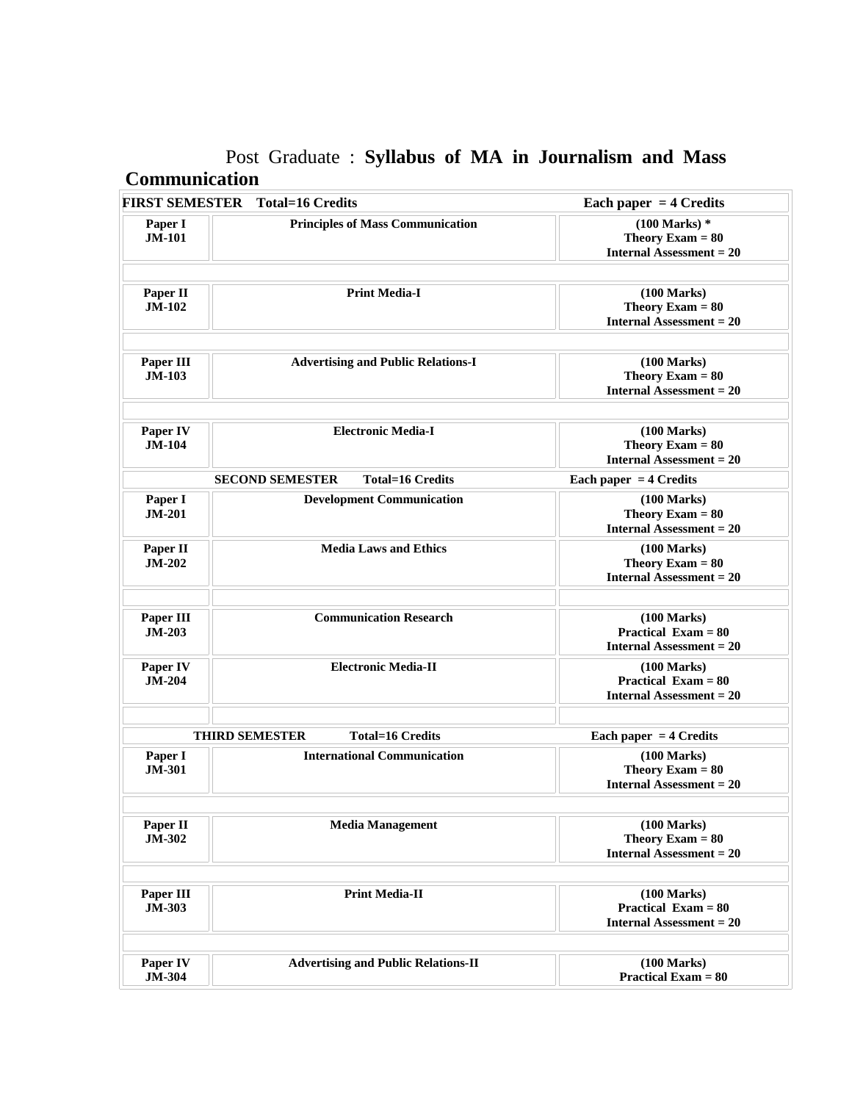# Post Graduate : **Syllabus of MA in Journalism and Mass Communication**

|                            | <b>FIRST SEMESTER</b> Total=16 Credits            | Each paper $=$ 4 Credits                                                               |
|----------------------------|---------------------------------------------------|----------------------------------------------------------------------------------------|
| Paper I<br><b>JM-101</b>   | <b>Principles of Mass Communication</b>           | $(100$ Marks) $*$<br>Theory Exam $= 80$<br><b>Internal Assessment = 20</b>             |
| Paper II<br><b>JM-102</b>  | <b>Print Media-I</b>                              | (100 Marks)<br>Theory Exam $= 80$<br><b>Internal Assessment = 20</b>                   |
| Paper III<br>$JM-103$      | <b>Advertising and Public Relations-I</b>         | $(100$ Marks)<br>Theory Exam $= 80$<br><b>Internal Assessment = 20</b>                 |
| Paper IV<br><b>JM-104</b>  | <b>Electronic Media-I</b>                         | $(100 \text{ Marks})$<br>Theory Exam $= 80$<br><b>Internal Assessment = 20</b>         |
|                            | <b>Total=16 Credits</b><br><b>SECOND SEMESTER</b> | Each paper $=$ 4 Credits                                                               |
| Paper I<br><b>JM-201</b>   | <b>Development Communication</b>                  | $(100 \text{ Marks})$<br>Theory Exam $= 80$<br><b>Internal Assessment = 20</b>         |
| Paper II<br><b>JM-202</b>  | <b>Media Laws and Ethics</b>                      | $(100 \text{ Marks})$<br>Theory Exam $= 80$<br><b>Internal Assessment = 20</b>         |
| Paper III<br><b>JM-203</b> | <b>Communication Research</b>                     | $(100 \text{ Marks})$<br><b>Practical Exam = 80</b><br><b>Internal Assessment = 20</b> |
| Paper IV<br><b>JM-204</b>  | <b>Electronic Media-II</b>                        | $(100 \text{ Marks})$<br><b>Practical Exam = 80</b><br><b>Internal Assessment = 20</b> |
|                            | <b>THIRD SEMESTER</b><br><b>Total=16 Credits</b>  | Each paper $=$ 4 Credits                                                               |
| Paper I<br><b>JM-301</b>   | <b>International Communication</b>                | (100 Marks)<br>Theory Exam $= 80$<br><b>Internal Assessment = 20</b>                   |
| Paper II<br><b>JM-302</b>  | <b>Media Management</b>                           | (100 Marks)<br>Theory Exam $= 80$<br><b>Internal Assessment = 20</b>                   |
| Paper III<br><b>JM-303</b> | <b>Print Media-II</b>                             | $(100 \text{ Marks})$<br><b>Practical Exam = 80</b><br><b>Internal Assessment = 20</b> |
| Paper IV<br><b>JM-304</b>  | <b>Advertising and Public Relations-II</b>        | (100 Marks)<br><b>Practical Exam = 80</b>                                              |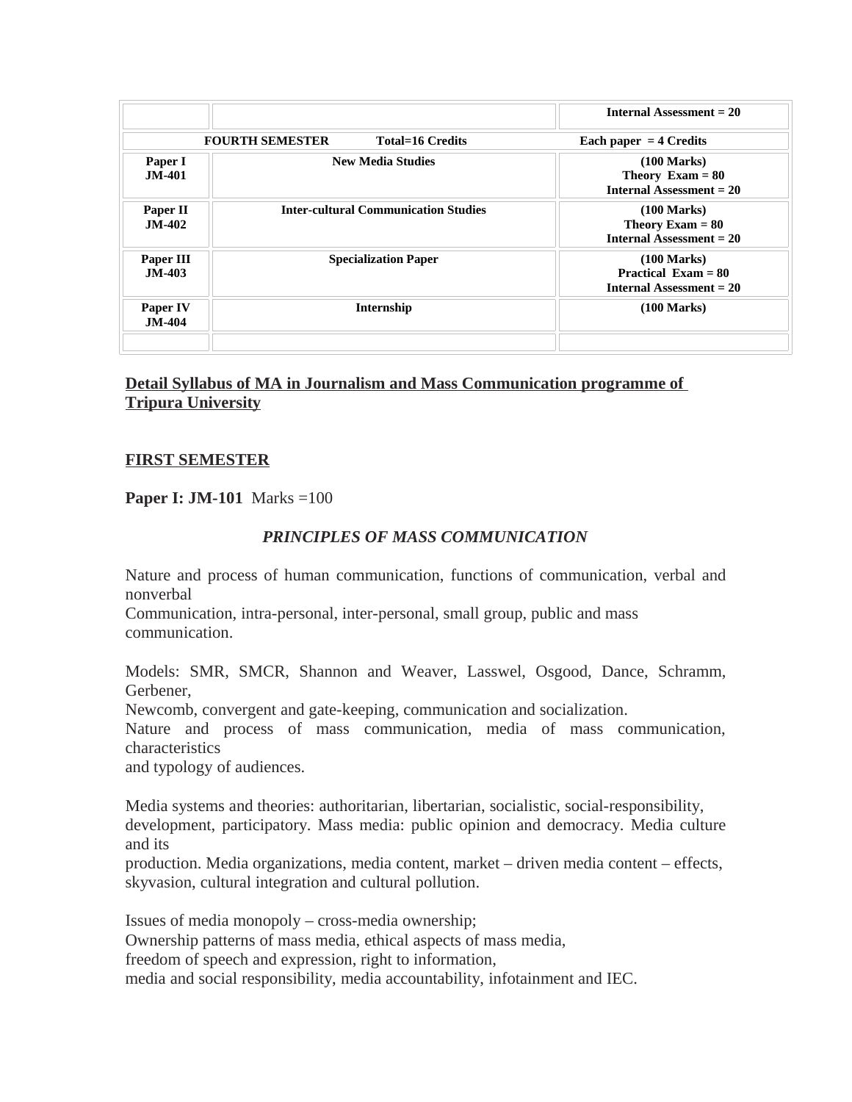| Each paper $=$ 4 Credits                                                               |
|----------------------------------------------------------------------------------------|
| $(100 \text{ Marks})$<br>Theory Exam $= 80$<br><b>Internal Assessment = 20</b>         |
| $(100 \text{ Marks})$<br>Theory Exam $= 80$<br><b>Internal Assessment = 20</b>         |
| $(100 \text{ Marks})$<br><b>Practical Exam = 80</b><br><b>Internal Assessment = 20</b> |
| $(100 \text{ Marks})$                                                                  |
|                                                                                        |

# **Detail Syllabus of MA in Journalism and Mass Communication programme of Tripura University**

## **FIRST SEMESTER**

## **Paper I: JM-101** Marks =100

## *PRINCIPLES OF MASS COMMUNICATION*

Nature and process of human communication, functions of communication, verbal and nonverbal

Communication, intra-personal, inter-personal, small group, public and mass communication.

Models: SMR, SMCR, Shannon and Weaver, Lasswel, Osgood, Dance, Schramm, Gerbener,

Newcomb, convergent and gate-keeping, communication and socialization.

Nature and process of mass communication, media of mass communication, characteristics

and typology of audiences.

Media systems and theories: authoritarian, libertarian, socialistic, social-responsibility, development, participatory. Mass media: public opinion and democracy. Media culture and its

production. Media organizations, media content, market – driven media content – effects, skyvasion, cultural integration and cultural pollution.

Issues of media monopoly – cross-media ownership; Ownership patterns of mass media, ethical aspects of mass media, freedom of speech and expression, right to information, media and social responsibility, media accountability, infotainment and IEC.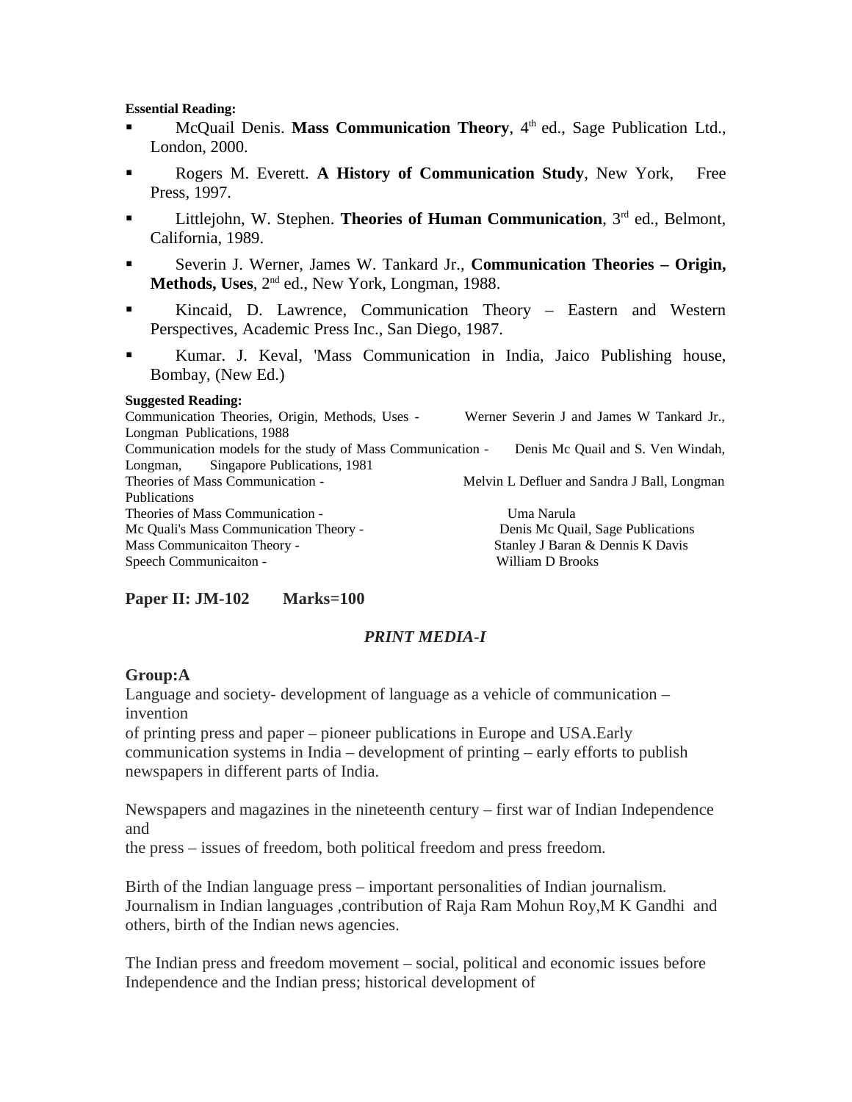#### **Essential Reading:**

- **McQuail Denis. Mass Communication Theory**, 4<sup>th</sup> ed., Sage Publication Ltd., London, 2000.
- **Rogers M. Everett. A History of Communication Study, New York, Free** Press, 1997.
- **EXECUTE:** Littlejohn, W. Stephen. **Theories of Human Communication**, 3<sup>rd</sup> ed., Belmont, California, 1989.
- Severin J. Werner, James W. Tankard Jr., **Communication Theories Origin,** Methods, Uses, 2<sup>nd</sup> ed., New York, Longman, 1988.
- Kincaid, D. Lawrence, Communication Theory Eastern and Western Perspectives, Academic Press Inc., San Diego, 1987.
- Kumar. J. Keval, 'Mass Communication in India, Jaico Publishing house, Bombay, (New Ed.)

#### **Suggested Reading:**

Communication Theories, Origin, Methods, Uses - Werner Severin J and James W Tankard Jr., Longman Publications, 1988 Communication models for the study of Mass Communication - Denis Mc Quail and S. Ven Windah, Longman, Singapore Publications, 1981 Theories of Mass Communication - Theories of Mass Communication - Melvin L Defluer and Sandra J Ball, Longman Publications Theories of Mass Communication - Theories of Mass Communication -Mc Quali's Mass Communication Theory - Theory - Denis Mc Quail, Sage Publications Mass Communicaiton Theory - Stanley J Baran & Dennis K Davis Speech Communicaiton - William D Brooks

## **Paper II: JM-102 Marks=100**

#### *PRINT MEDIA-I*

#### **Group:A**

Language and society- development of language as a vehicle of communication – invention

of printing press and paper – pioneer publications in Europe and USA.Early communication systems in India – development of printing – early efforts to publish newspapers in different parts of India.

Newspapers and magazines in the nineteenth century – first war of Indian Independence and

the press – issues of freedom, both political freedom and press freedom.

Birth of the Indian language press – important personalities of Indian journalism. Journalism in Indian languages ,contribution of Raja Ram Mohun Roy,M K Gandhi and others, birth of the Indian news agencies.

The Indian press and freedom movement – social, political and economic issues before Independence and the Indian press; historical development of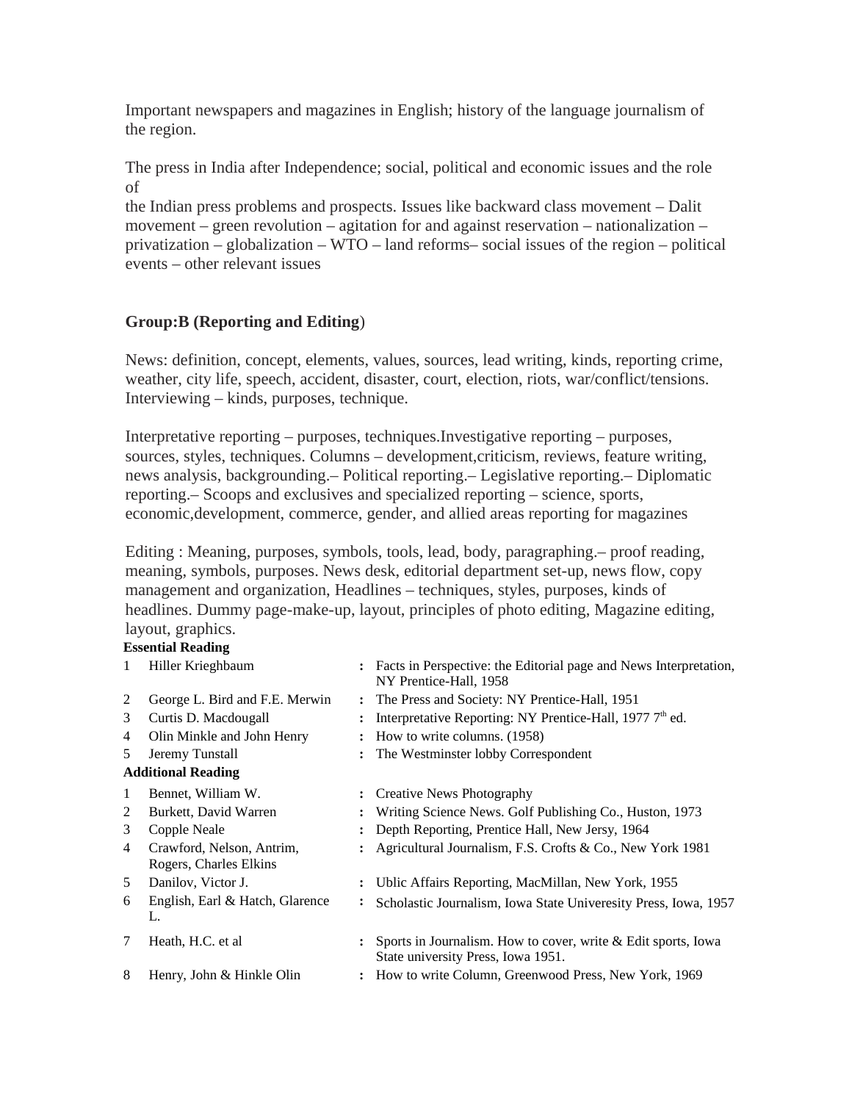Important newspapers and magazines in English; history of the language journalism of the region.

The press in India after Independence; social, political and economic issues and the role of

the Indian press problems and prospects. Issues like backward class movement – Dalit movement – green revolution – agitation for and against reservation – nationalization – privatization – globalization – WTO – land reforms– social issues of the region – political events – other relevant issues

# **Group:B (Reporting and Editing**)

News: definition, concept, elements, values, sources, lead writing, kinds, reporting crime, weather, city life, speech, accident, disaster, court, election, riots, war/conflict/tensions. Interviewing – kinds, purposes, technique.

Interpretative reporting – purposes, techniques.Investigative reporting – purposes, sources, styles, techniques. Columns – development,criticism, reviews, feature writing, news analysis, backgrounding.– Political reporting.– Legislative reporting.– Diplomatic reporting.– Scoops and exclusives and specialized reporting – science, sports, economic,development, commerce, gender, and allied areas reporting for magazines

Editing : Meaning, purposes, symbols, tools, lead, body, paragraphing.– proof reading, meaning, symbols, purposes. News desk, editorial department set-up, news flow, copy management and organization, Headlines – techniques, styles, purposes, kinds of headlines. Dummy page-make-up, layout, principles of photo editing, Magazine editing, layout, graphics.

## **Essential Reading**

| 1              | Hiller Krieghbaum                                   |                | : Facts in Perspective: the Editorial page and News Interpretation,<br>NY Prentice-Hall, 1958       |
|----------------|-----------------------------------------------------|----------------|-----------------------------------------------------------------------------------------------------|
| 2              | George L. Bird and F.E. Merwin                      |                | : The Press and Society: NY Prentice-Hall, 1951                                                     |
| 3              | Curtis D. Macdougall                                |                | Interpretative Reporting: NY Prentice-Hall, 1977 7th ed.                                            |
| 4              | Olin Minkle and John Henry                          |                | How to write columns. (1958)                                                                        |
| 5              | Jeremy Tunstall                                     |                | The Westminster lobby Correspondent                                                                 |
|                | <b>Additional Reading</b>                           |                |                                                                                                     |
| 1              | Bennet, William W.                                  | $\ddot{\cdot}$ | Creative News Photography                                                                           |
| 2              | Burkett, David Warren                               |                | Writing Science News. Golf Publishing Co., Huston, 1973                                             |
| 3              | Copple Neale                                        |                | Depth Reporting, Prentice Hall, New Jersy, 1964                                                     |
| $\overline{4}$ | Crawford, Nelson, Antrim,<br>Rogers, Charles Elkins |                | Agricultural Journalism, F.S. Crofts & Co., New York 1981                                           |
| 5              | Danilov, Victor J.                                  | $\ddot{\cdot}$ | Ublic Affairs Reporting, MacMillan, New York, 1955                                                  |
| 6              | English, Earl & Hatch, Glarence<br>L.               | $\ddot{\cdot}$ | Scholastic Journalism, Iowa State Univeresity Press, Iowa, 1957                                     |
| 7              | Heath, H.C. et al                                   |                | Sports in Journalism. How to cover, write & Edit sports, Iowa<br>State university Press, Iowa 1951. |
| 8              | Henry, John & Hinkle Olin                           |                | : How to write Column, Greenwood Press, New York, 1969                                              |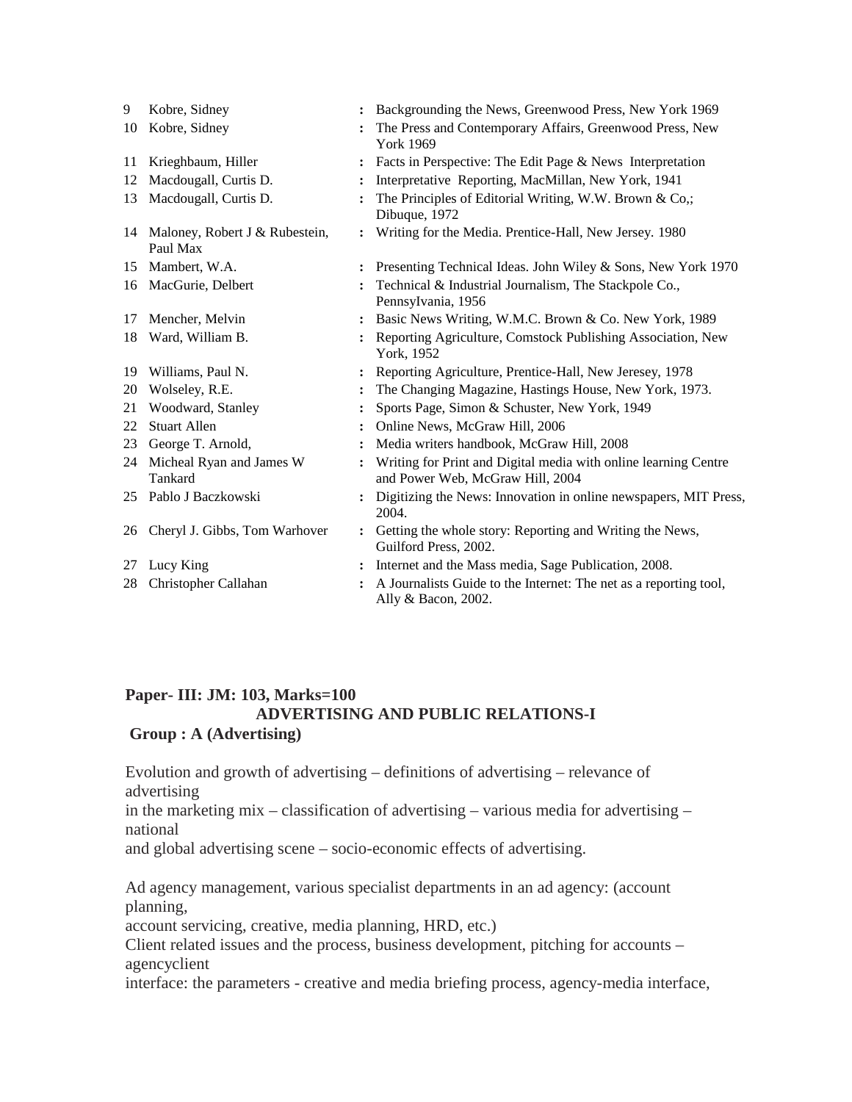| 9  | Kobre, Sidney                                 | $\ddot{\phantom{a}}$ | Backgrounding the News, Greenwood Press, New York 1969                                              |
|----|-----------------------------------------------|----------------------|-----------------------------------------------------------------------------------------------------|
| 10 | Kobre, Sidney                                 |                      | The Press and Contemporary Affairs, Greenwood Press, New<br>York 1969                               |
| 11 | Krieghbaum, Hiller                            |                      | Facts in Perspective: The Edit Page & News Interpretation                                           |
| 12 | Macdougall, Curtis D.                         |                      | Interpretative Reporting, MacMillan, New York, 1941                                                 |
| 13 | Macdougall, Curtis D.                         |                      | The Principles of Editorial Writing, W.W. Brown & Co,;<br>Dibuque, 1972                             |
|    | 14 Maloney, Robert J & Rubestein,<br>Paul Max | $\ddot{\cdot}$       | Writing for the Media. Prentice-Hall, New Jersey. 1980                                              |
| 15 | Mambert, W.A.                                 |                      | Presenting Technical Ideas. John Wiley & Sons, New York 1970                                        |
|    | 16 MacGurie, Delbert                          |                      | Technical & Industrial Journalism, The Stackpole Co.,<br>Pennsylvania, 1956                         |
| 17 | Mencher, Melvin                               |                      | Basic News Writing, W.M.C. Brown & Co. New York, 1989                                               |
| 18 | Ward, William B.                              |                      | Reporting Agriculture, Comstock Publishing Association, New<br>York, 1952                           |
| 19 | Williams, Paul N.                             |                      | Reporting Agriculture, Prentice-Hall, New Jeresey, 1978                                             |
| 20 | Wolseley, R.E.                                |                      | The Changing Magazine, Hastings House, New York, 1973.                                              |
| 21 | Woodward, Stanley                             |                      | Sports Page, Simon & Schuster, New York, 1949                                                       |
| 22 | <b>Stuart Allen</b>                           |                      | Online News, McGraw Hill, 2006                                                                      |
| 23 | George T. Arnold,                             |                      | Media writers handbook, McGraw Hill, 2008                                                           |
| 24 | Micheal Ryan and James W<br>Tankard           |                      | Writing for Print and Digital media with online learning Centre<br>and Power Web, McGraw Hill, 2004 |
| 25 | Pablo J Baczkowski                            |                      | Digitizing the News: Innovation in online newspapers, MIT Press,<br>2004.                           |
| 26 | Cheryl J. Gibbs, Tom Warhover                 | $\ddot{\phantom{a}}$ | Getting the whole story: Reporting and Writing the News,<br>Guilford Press, 2002.                   |
| 27 | Lucy King                                     | $\ddot{\phantom{a}}$ | Internet and the Mass media, Sage Publication, 2008.                                                |
| 28 | Christopher Callahan                          |                      | A Journalists Guide to the Internet: The net as a reporting tool,<br>Ally & Bacon, 2002.            |

## **Paper- III: JM: 103, Marks=100 ADVERTISING AND PUBLIC RELATIONS-I Group : A (Advertising)**

Evolution and growth of advertising – definitions of advertising – relevance of advertising

in the marketing mix – classification of advertising – various media for advertising – national

and global advertising scene – socio-economic effects of advertising.

Ad agency management, various specialist departments in an ad agency: (account planning,

account servicing, creative, media planning, HRD, etc.)

Client related issues and the process, business development, pitching for accounts – agencyclient

interface: the parameters - creative and media briefing process, agency-media interface,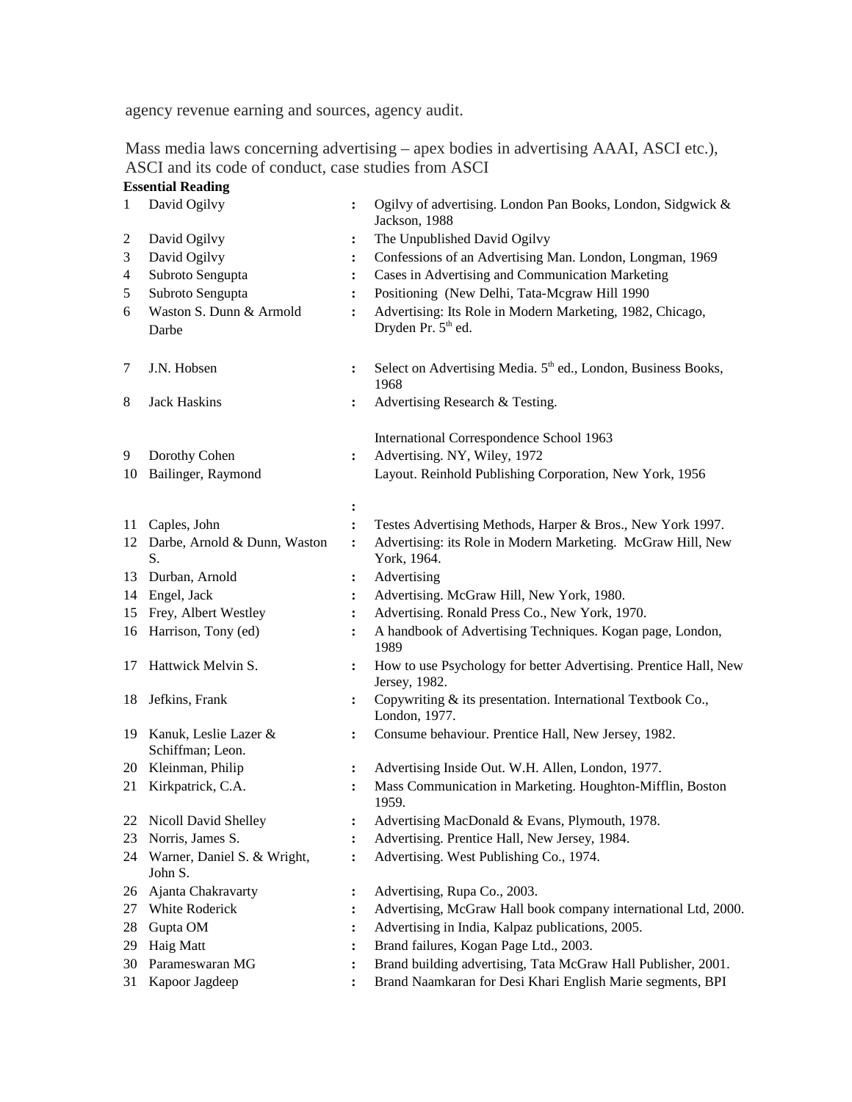agency revenue earning and sources, agency audit.

Mass media laws concerning advertising – apex bodies in advertising AAAI, ASCI etc.), ASCI and its code of conduct, case studies from ASCI **Essential Reading**

| 1              | David Ogilvy                                 | $\ddot{\phantom{a}}$ | Ogilvy of advertising. London Pan Books, London, Sidgwick &<br>Jackson, 1988                |
|----------------|----------------------------------------------|----------------------|---------------------------------------------------------------------------------------------|
| 2              | David Ogilvy                                 | $\colon$             | The Unpublished David Ogilvy                                                                |
| З              | David Ogilvy                                 | $\ddot{\cdot}$       | Confessions of an Advertising Man. London, Longman, 1969                                    |
| 4              | Subroto Sengupta                             | $\ddot{\cdot}$       | Cases in Advertising and Communication Marketing                                            |
| 5              | Subroto Sengupta                             | $\ddot{\cdot}$       | Positioning (New Delhi, Tata-Mcgraw Hill 1990                                               |
| 6              | Waston S. Dunn & Armold<br>Darbe             | $\ddot{\cdot}$       | Advertising: Its Role in Modern Marketing, 1982, Chicago,<br>Dryden Pr. 5 <sup>th</sup> ed. |
| $\overline{7}$ | J.N. Hobsen                                  | $\ddot{\cdot}$       | Select on Advertising Media. 5 <sup>th</sup> ed., London, Business Books,<br>1968           |
| 8              | Jack Haskins                                 | $\ddot{\cdot}$       | Advertising Research & Testing.                                                             |
|                |                                              |                      | International Correspondence School 1963                                                    |
| 9              | Dorothy Cohen                                | $\ddot{\cdot}$       | Advertising. NY, Wiley, 1972                                                                |
| 10             | Bailinger, Raymond                           |                      | Layout. Reinhold Publishing Corporation, New York, 1956                                     |
|                |                                              | ፡                    |                                                                                             |
| 11             | Caples, John                                 | $\ddot{\cdot}$       | Testes Advertising Methods, Harper & Bros., New York 1997.                                  |
| 12             | Darbe, Arnold & Dunn, Waston<br>S.           | $\ddot{\cdot}$       | Advertising: its Role in Modern Marketing. McGraw Hill, New<br>York, 1964.                  |
| 13             | Durban, Arnold                               | :                    | Advertising                                                                                 |
| 14             | Engel, Jack                                  | $\ddot{\cdot}$       | Advertising. McGraw Hill, New York, 1980.                                                   |
| 15             | Frey, Albert Westley                         | $\ddot{\cdot}$       | Advertising. Ronald Press Co., New York, 1970.                                              |
| 16             | Harrison, Tony (ed)                          | $\ddot{\cdot}$       | A handbook of Advertising Techniques. Kogan page, London,<br>1989                           |
| 17             | Hattwick Melvin S.                           | $\ddot{\cdot}$       | How to use Psychology for better Advertising. Prentice Hall, New<br>Jersey, 1982.           |
| 18             | Jefkins, Frank                               | $\ddot{\cdot}$       | Copywriting & its presentation. International Textbook Co.,<br>London, 1977.                |
|                | 19 Kanuk, Leslie Lazer &<br>Schiffman; Leon. | $\ddot{\cdot}$       | Consume behaviour. Prentice Hall, New Jersey, 1982.                                         |
|                | 20 Kleinman, Philip                          | ፡                    | Advertising Inside Out. W.H. Allen, London, 1977.                                           |
| 21             | Kirkpatrick, C.A.                            | $\ddot{\cdot}$       | Mass Communication in Marketing. Houghton-Mifflin, Boston<br>1959.                          |
| 22             | Nicoll David Shelley                         | ፡                    | Advertising MacDonald & Evans, Plymouth, 1978.                                              |
| 23             | Norris, James S.                             | $\ddot{\cdot}$       | Advertising. Prentice Hall, New Jersey, 1984.                                               |
| 24             | Warner, Daniel S. & Wright,<br>John S.       |                      | Advertising. West Publishing Co., 1974.                                                     |
| 26             | Ajanta Chakravarty                           | ፡                    | Advertising, Rupa Co., 2003.                                                                |
| 27             | <b>White Roderick</b>                        | ፡                    | Advertising, McGraw Hall book company international Ltd, 2000.                              |
| 28             | Gupta OM                                     |                      | Advertising in India, Kalpaz publications, 2005.                                            |
| 29             | Haig Matt                                    | ፡                    | Brand failures, Kogan Page Ltd., 2003.                                                      |
| 30             | Parameswaran MG                              | ፡                    | Brand building advertising, Tata McGraw Hall Publisher, 2001.                               |
| 31             | Kapoor Jagdeep                               |                      | Brand Naamkaran for Desi Khari English Marie segments, BPI                                  |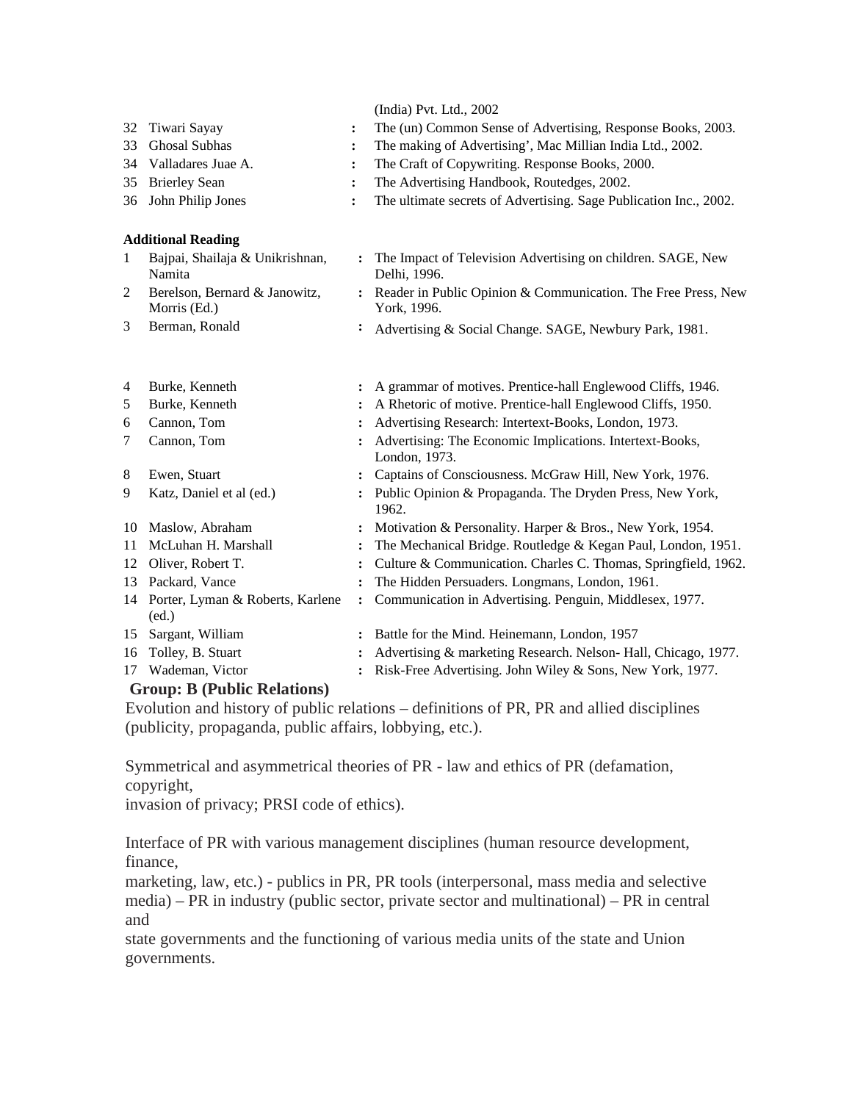| 32<br>33<br>34<br>35<br>36 | Tiwari Sayay<br><b>Ghosal Subhas</b><br>Valladares Juae A.<br><b>Brierley Sean</b><br>John Philip Jones | :<br>$\ddot{\cdot}$ | (India) Pvt. Ltd., 2002<br>The (un) Common Sense of Advertising, Response Books, 2003.<br>The making of Advertising', Mac Millian India Ltd., 2002.<br>The Craft of Copywriting. Response Books, 2000.<br>The Advertising Handbook, Routedges, 2002.<br>The ultimate secrets of Advertising. Sage Publication Inc., 2002. |
|----------------------------|---------------------------------------------------------------------------------------------------------|---------------------|---------------------------------------------------------------------------------------------------------------------------------------------------------------------------------------------------------------------------------------------------------------------------------------------------------------------------|
|                            | <b>Additional Reading</b>                                                                               |                     |                                                                                                                                                                                                                                                                                                                           |
| $\mathbf{1}$               | Bajpai, Shailaja & Unikrishnan,<br>Namita                                                               | $\ddot{\cdot}$      | The Impact of Television Advertising on children. SAGE, New<br>Delhi, 1996.                                                                                                                                                                                                                                               |
| 2                          | Berelson, Bernard & Janowitz,<br>Morris (Ed.)                                                           |                     | Reader in Public Opinion & Communication. The Free Press, New<br>York, 1996.                                                                                                                                                                                                                                              |
| 3                          | Berman, Ronald                                                                                          | ፡                   | Advertising & Social Change. SAGE, Newbury Park, 1981.                                                                                                                                                                                                                                                                    |
|                            |                                                                                                         |                     |                                                                                                                                                                                                                                                                                                                           |
| 4                          | Burke, Kenneth                                                                                          | $\ddot{\cdot}$      | A grammar of motives. Prentice-hall Englewood Cliffs, 1946.                                                                                                                                                                                                                                                               |
| 5                          | Burke, Kenneth                                                                                          |                     | A Rhetoric of motive. Prentice-hall Englewood Cliffs, 1950.                                                                                                                                                                                                                                                               |
| 6                          | Cannon, Tom                                                                                             | $\ddot{\cdot}$      | Advertising Research: Intertext-Books, London, 1973.                                                                                                                                                                                                                                                                      |
| 7                          | Cannon, Tom                                                                                             |                     | Advertising: The Economic Implications. Intertext-Books,<br>London, 1973.                                                                                                                                                                                                                                                 |
| 8                          | Ewen, Stuart                                                                                            | $\ddot{\cdot}$      | Captains of Consciousness. McGraw Hill, New York, 1976.                                                                                                                                                                                                                                                                   |
| 9                          | Katz, Daniel et al (ed.)                                                                                |                     | Public Opinion & Propaganda. The Dryden Press, New York,<br>1962.                                                                                                                                                                                                                                                         |
| 10                         | Maslow, Abraham                                                                                         | :                   | Motivation & Personality. Harper & Bros., New York, 1954.                                                                                                                                                                                                                                                                 |
| 11                         | McLuhan H. Marshall                                                                                     | :                   | The Mechanical Bridge. Routledge & Kegan Paul, London, 1951.                                                                                                                                                                                                                                                              |
| 12                         | Oliver, Robert T.                                                                                       |                     | Culture & Communication. Charles C. Thomas, Springfield, 1962.                                                                                                                                                                                                                                                            |
| 13                         | Packard, Vance                                                                                          | $\ddot{\cdot}$      | The Hidden Persuaders. Longmans, London, 1961.                                                                                                                                                                                                                                                                            |
| 14                         | Porter, Lyman & Roberts, Karlene<br>(ed.)                                                               | ፡                   | Communication in Advertising. Penguin, Middlesex, 1977.                                                                                                                                                                                                                                                                   |
| 15                         | Sargant, William                                                                                        | $\ddot{\cdot}$      | Battle for the Mind. Heinemann, London, 1957                                                                                                                                                                                                                                                                              |
| 16                         | Tolley, B. Stuart                                                                                       |                     | Advertising & marketing Research. Nelson- Hall, Chicago, 1977.                                                                                                                                                                                                                                                            |
|                            | 17 Wademan, Victor                                                                                      |                     | Risk-Free Advertising. John Wiley & Sons, New York, 1977.                                                                                                                                                                                                                                                                 |
|                            | Group: R (Public Relations)                                                                             |                     |                                                                                                                                                                                                                                                                                                                           |

# **Group: B (Public Relations)**

Evolution and history of public relations – definitions of PR, PR and allied disciplines (publicity, propaganda, public affairs, lobbying, etc.).

Symmetrical and asymmetrical theories of PR - law and ethics of PR (defamation, copyright,

invasion of privacy; PRSI code of ethics).

Interface of PR with various management disciplines (human resource development, finance,

marketing, law, etc.) - publics in PR, PR tools (interpersonal, mass media and selective media) – PR in industry (public sector, private sector and multinational) – PR in central and

state governments and the functioning of various media units of the state and Union governments.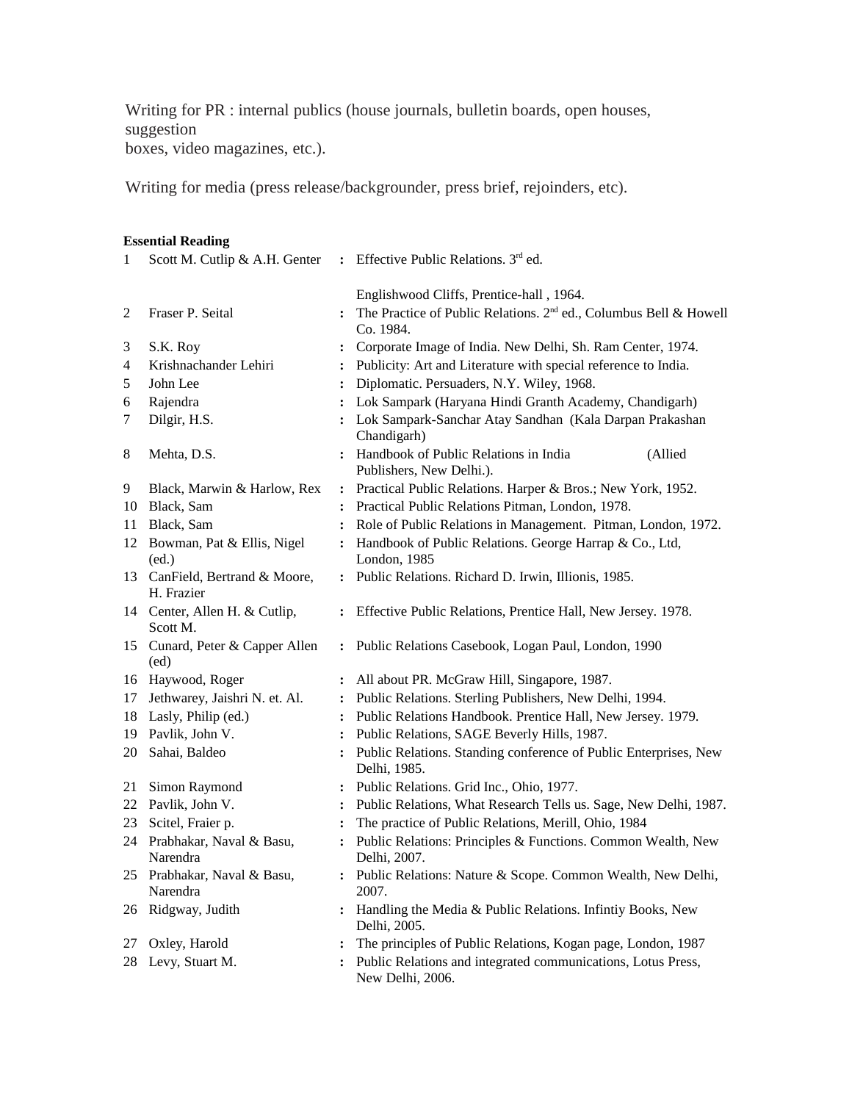Writing for PR : internal publics (house journals, bulletin boards, open houses, suggestion boxes, video magazines, etc.).

Writing for media (press release/backgrounder, press brief, rejoinders, etc).

#### **Essential Reading**

| $\mathbf{1}$ | Scott M. Cutlip & A.H. Genter                |                      | : Effective Public Relations. 3 <sup>rd</sup> ed.                                          |
|--------------|----------------------------------------------|----------------------|--------------------------------------------------------------------------------------------|
|              |                                              |                      | Englishwood Cliffs, Prentice-hall, 1964.                                                   |
| 2            | Fraser P. Seital                             |                      | The Practice of Public Relations. 2 <sup>nd</sup> ed., Columbus Bell & Howell<br>Co. 1984. |
| 3            | S.K. Roy                                     |                      | Corporate Image of India. New Delhi, Sh. Ram Center, 1974.                                 |
| 4            | Krishnachander Lehiri                        | $\ddot{\cdot}$       | Publicity: Art and Literature with special reference to India.                             |
| 5            | John Lee                                     | $\ddot{\phantom{a}}$ | Diplomatic. Persuaders, N.Y. Wiley, 1968.                                                  |
| 6            | Rajendra                                     |                      | Lok Sampark (Haryana Hindi Granth Academy, Chandigarh)                                     |
| 7            | Dilgir, H.S.                                 |                      | Lok Sampark-Sanchar Atay Sandhan (Kala Darpan Prakashan<br>Chandigarh)                     |
| 8            | Mehta, D.S.                                  |                      | : Handbook of Public Relations in India<br>(Allied<br>Publishers, New Delhi.).             |
| 9            | Black, Marwin & Harlow, Rex                  | $\ddot{\cdot}$       | Practical Public Relations. Harper & Bros.; New York, 1952.                                |
| 10           | Black, Sam                                   | $\mathbf{r}$         | Practical Public Relations Pitman, London, 1978.                                           |
|              | 11 Black, Sam                                | $\ddot{\phantom{a}}$ | Role of Public Relations in Management. Pitman, London, 1972.                              |
|              | 12 Bowman, Pat & Ellis, Nigel<br>(ed.)       | $\mathbf{r}$         | Handbook of Public Relations. George Harrap & Co., Ltd,<br>London, 1985                    |
|              | 13 CanField, Bertrand & Moore,<br>H. Frazier |                      | : Public Relations. Richard D. Irwin, Illionis, 1985.                                      |
|              | 14 Center, Allen H. & Cutlip,<br>Scott M.    | $\mathbf{L}$         | Effective Public Relations, Prentice Hall, New Jersey. 1978.                               |
|              | 15 Cunard, Peter & Capper Allen<br>(ed)      |                      | : Public Relations Casebook, Logan Paul, London, 1990                                      |
|              | 16 Haywood, Roger                            |                      | All about PR. McGraw Hill, Singapore, 1987.                                                |
| 17           | Jethwarey, Jaishri N. et. Al.                | $\ddot{\phantom{a}}$ | Public Relations. Sterling Publishers, New Delhi, 1994.                                    |
| 18           | Lasly, Philip (ed.)                          | $\mathbf{r}$         | Public Relations Handbook. Prentice Hall, New Jersey. 1979.                                |
|              | 19 Pavlik, John V.                           | $\ddot{\phantom{0}}$ | Public Relations, SAGE Beverly Hills, 1987.                                                |
| 20           | Sahai, Baldeo                                |                      | Public Relations. Standing conference of Public Enterprises, New<br>Delhi, 1985.           |
| 21           | Simon Raymond                                |                      | : Public Relations. Grid Inc., Ohio, 1977.                                                 |
| 22           | Pavlik, John V.                              |                      | : Public Relations, What Research Tells us. Sage, New Delhi, 1987.                         |
| 23           | Scitel, Fraier p.                            |                      | The practice of Public Relations, Merill, Ohio, 1984                                       |
| 24           | Prabhakar, Naval & Basu,<br>Narendra         | $\colon$             | Public Relations: Principles & Functions. Common Wealth, New<br>Delhi, 2007.               |
|              | 25 Prabhakar, Naval & Basu,<br>Narendra      |                      | : Public Relations: Nature & Scope. Common Wealth, New Delhi,<br>2007.                     |
| 26           | Ridgway, Judith                              | $\ddot{\cdot}$       | Handling the Media & Public Relations. Infintiy Books, New<br>Delhi, 2005.                 |
| 27           | Oxley, Harold                                |                      | The principles of Public Relations, Kogan page, London, 1987                               |
| 28           | Levy, Stuart M.                              |                      | Public Relations and integrated communications, Lotus Press,<br>New Delhi, 2006.           |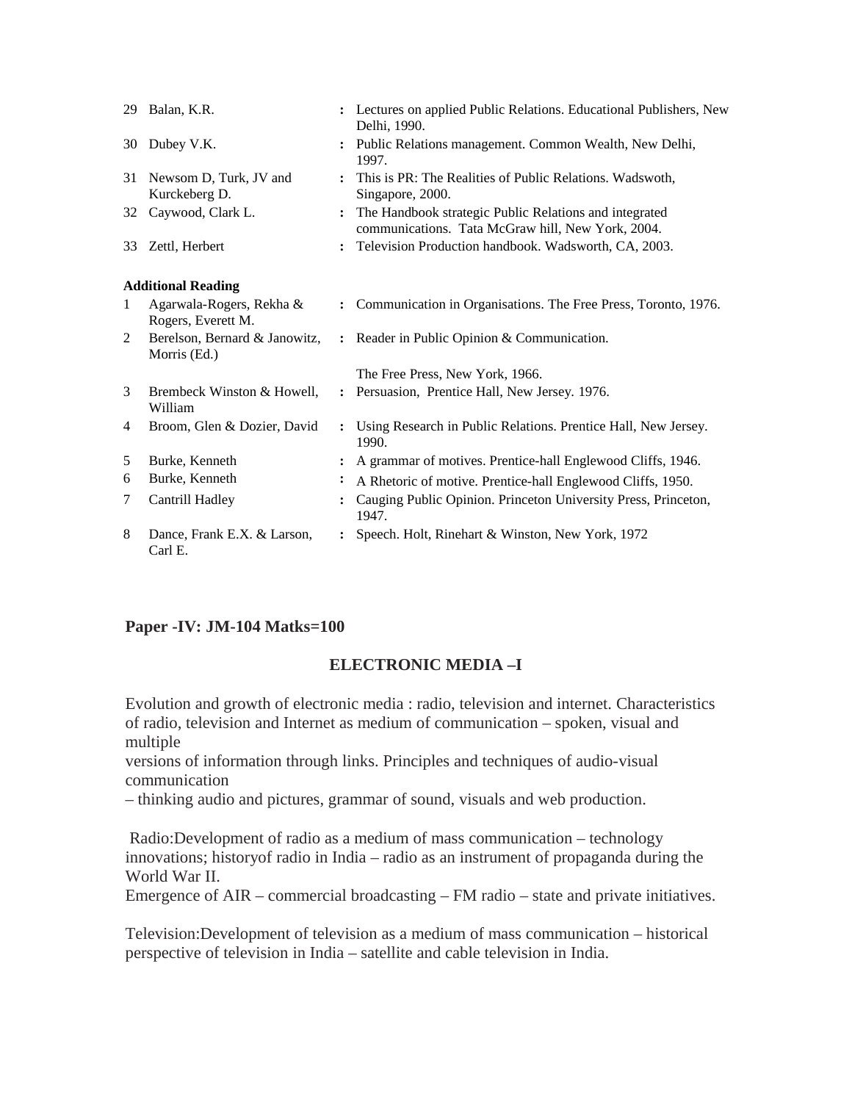|              | 29 Balan, K.R.                                 |                      | : Lectures on applied Public Relations. Educational Publishers, New<br>Delhi, 1990.                         |
|--------------|------------------------------------------------|----------------------|-------------------------------------------------------------------------------------------------------------|
| 30           | Dubey V.K.                                     |                      | Public Relations management. Common Wealth, New Delhi,<br>1997.                                             |
| 31           | Newsom D, Turk, JV and<br>Kurckeberg D.        |                      | This is PR: The Realities of Public Relations. Wadswoth,<br>Singapore, 2000.                                |
| 32           | Caywood, Clark L.                              |                      | The Handbook strategic Public Relations and integrated<br>communications. Tata McGraw hill, New York, 2004. |
| 33           | Zettl, Herbert                                 |                      | Television Production handbook. Wadsworth, CA, 2003.                                                        |
|              | <b>Additional Reading</b>                      |                      |                                                                                                             |
| $\mathbf{1}$ | Agarwala-Rogers, Rekha &<br>Rogers, Everett M. |                      | : Communication in Organisations. The Free Press, Toronto, 1976.                                            |
| 2            | Berelson, Bernard & Janowitz,<br>Morris (Ed.)  | $\ddot{\phantom{a}}$ | Reader in Public Opinion & Communication.                                                                   |
|              |                                                |                      | The Free Press, New York, 1966.                                                                             |
| 3            | Brembeck Winston & Howell,<br>William          | $\ddot{\phantom{a}}$ | Persuasion, Prentice Hall, New Jersey. 1976.                                                                |
| 4            | Broom, Glen & Dozier, David                    |                      | Using Research in Public Relations. Prentice Hall, New Jersey.<br>1990.                                     |
| 5            | Burke, Kenneth                                 |                      | A grammar of motives. Prentice-hall Englewood Cliffs, 1946.                                                 |
| 6            | Burke, Kenneth                                 |                      | A Rhetoric of motive. Prentice-hall Englewood Cliffs, 1950.                                                 |
| 7            | Cantrill Hadley                                |                      | Cauging Public Opinion. Princeton University Press, Princeton,<br>1947.                                     |
| 8            | Dance, Frank E.X. & Larson,<br>Carl E.         |                      | Speech. Holt, Rinehart & Winston, New York, 1972                                                            |

# **Paper -IV: JM-104 Matks=100**

# **ELECTRONIC MEDIA –I**

Evolution and growth of electronic media : radio, television and internet. Characteristics of radio, television and Internet as medium of communication – spoken, visual and multiple

versions of information through links. Principles and techniques of audio-visual communication

– thinking audio and pictures, grammar of sound, visuals and web production.

 Radio:Development of radio as a medium of mass communication – technology innovations; historyof radio in India – radio as an instrument of propaganda during the World War II.

Emergence of  $AIR$  – commercial broadcasting – FM radio – state and private initiatives.

Television:Development of television as a medium of mass communication – historical perspective of television in India – satellite and cable television in India.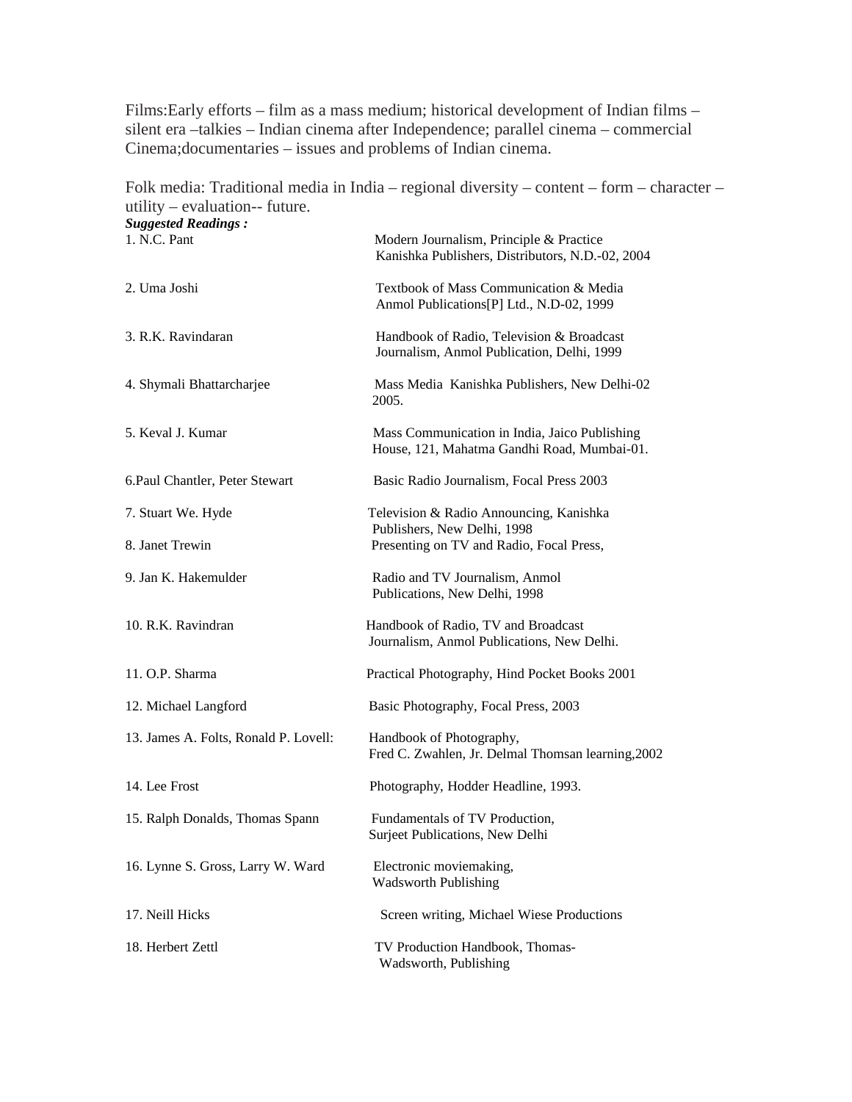Films:Early efforts – film as a mass medium; historical development of Indian films – silent era –talkies – Indian cinema after Independence; parallel cinema – commercial Cinema;documentaries – issues and problems of Indian cinema.

Folk media: Traditional media in India – regional diversity – content – form – character – utility – evaluation-- future.

| <b>Suggested Readings:</b>            |                                                                                              |
|---------------------------------------|----------------------------------------------------------------------------------------------|
| 1. N.C. Pant                          | Modern Journalism, Principle & Practice<br>Kanishka Publishers, Distributors, N.D.-02, 2004  |
| 2. Uma Joshi                          | Textbook of Mass Communication & Media<br>Anmol Publications[P] Ltd., N.D-02, 1999           |
| 3. R.K. Ravindaran                    | Handbook of Radio, Television & Broadcast<br>Journalism, Anmol Publication, Delhi, 1999      |
| 4. Shymali Bhattarcharjee             | Mass Media Kanishka Publishers, New Delhi-02<br>2005.                                        |
| 5. Keval J. Kumar                     | Mass Communication in India, Jaico Publishing<br>House, 121, Mahatma Gandhi Road, Mumbai-01. |
| 6. Paul Chantler, Peter Stewart       | Basic Radio Journalism, Focal Press 2003                                                     |
| 7. Stuart We. Hyde                    | Television & Radio Announcing, Kanishka<br>Publishers, New Delhi, 1998                       |
| 8. Janet Trewin                       | Presenting on TV and Radio, Focal Press,                                                     |
| 9. Jan K. Hakemulder                  | Radio and TV Journalism, Anmol<br>Publications, New Delhi, 1998                              |
| 10. R.K. Ravindran                    | Handbook of Radio, TV and Broadcast<br>Journalism, Anmol Publications, New Delhi.            |
| 11. O.P. Sharma                       | Practical Photography, Hind Pocket Books 2001                                                |
| 12. Michael Langford                  | Basic Photography, Focal Press, 2003                                                         |
| 13. James A. Folts, Ronald P. Lovell: | Handbook of Photography,<br>Fred C. Zwahlen, Jr. Delmal Thomsan learning, 2002               |
| 14. Lee Frost                         | Photography, Hodder Headline, 1993.                                                          |
| 15. Ralph Donalds, Thomas Spann       | Fundamentals of TV Production,<br>Surjeet Publications, New Delhi                            |
| 16. Lynne S. Gross, Larry W. Ward     | Electronic moviemaking,<br><b>Wadsworth Publishing</b>                                       |
| 17. Neill Hicks                       | Screen writing, Michael Wiese Productions                                                    |
| 18. Herbert Zettl                     | TV Production Handbook, Thomas-<br>Wadsworth, Publishing                                     |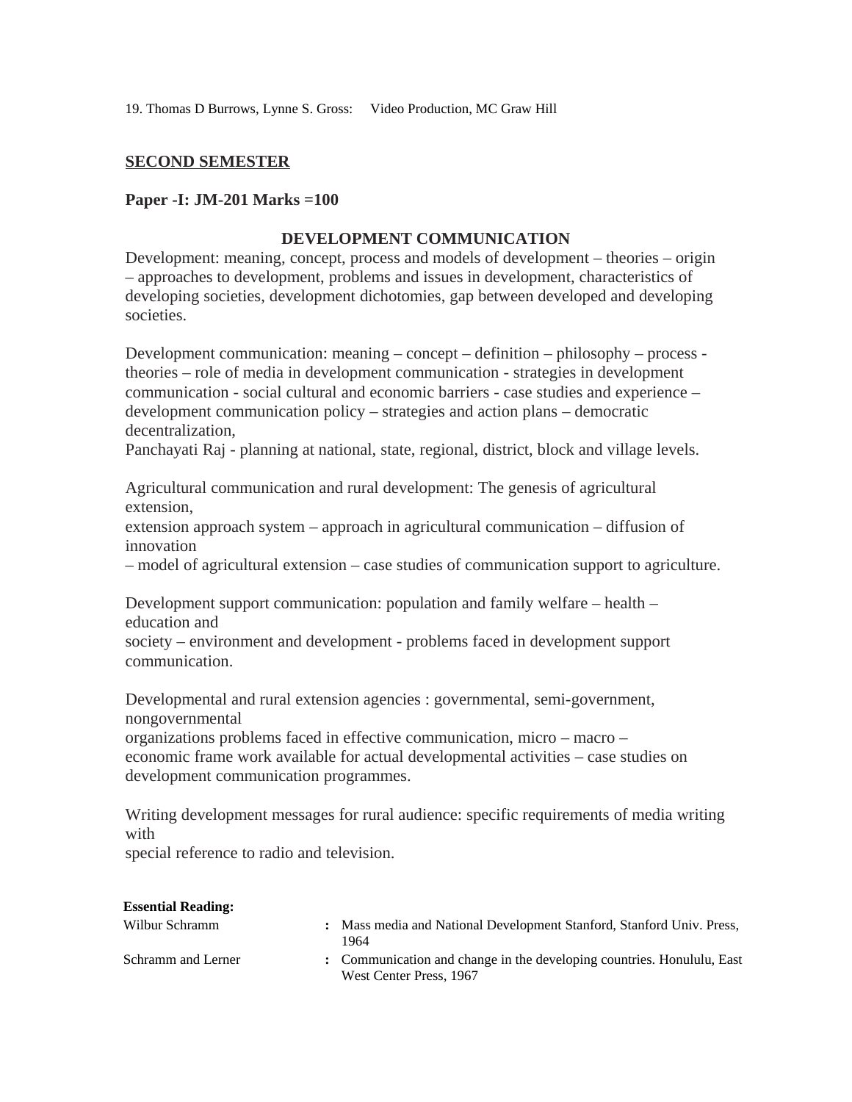19. Thomas D Burrows, Lynne S. Gross: Video Production, MC Graw Hill

## **SECOND SEMESTER**

#### **Paper -I: JM-201 Marks =100**

## **DEVELOPMENT COMMUNICATION**

Development: meaning, concept, process and models of development – theories – origin – approaches to development, problems and issues in development, characteristics of developing societies, development dichotomies, gap between developed and developing societies.

Development communication: meaning – concept – definition – philosophy – process theories – role of media in development communication - strategies in development communication - social cultural and economic barriers - case studies and experience – development communication policy – strategies and action plans – democratic decentralization,

Panchayati Raj - planning at national, state, regional, district, block and village levels.

Agricultural communication and rural development: The genesis of agricultural extension,

extension approach system – approach in agricultural communication – diffusion of innovation

– model of agricultural extension – case studies of communication support to agriculture.

Development support communication: population and family welfare – health – education and

society – environment and development - problems faced in development support communication.

Developmental and rural extension agencies : governmental, semi-government, nongovernmental

organizations problems faced in effective communication, micro – macro – economic frame work available for actual developmental activities – case studies on development communication programmes.

Writing development messages for rural audience: specific requirements of media writing with

special reference to radio and television.

| <b>Essential Reading:</b> |                                                                                                   |
|---------------------------|---------------------------------------------------------------------------------------------------|
| Wilbur Schramm            | Mass media and National Development Stanford, Stanford Univ. Press,<br>1964                       |
| Schramm and Lerner        | : Communication and change in the developing countries. Honululu, East<br>West Center Press, 1967 |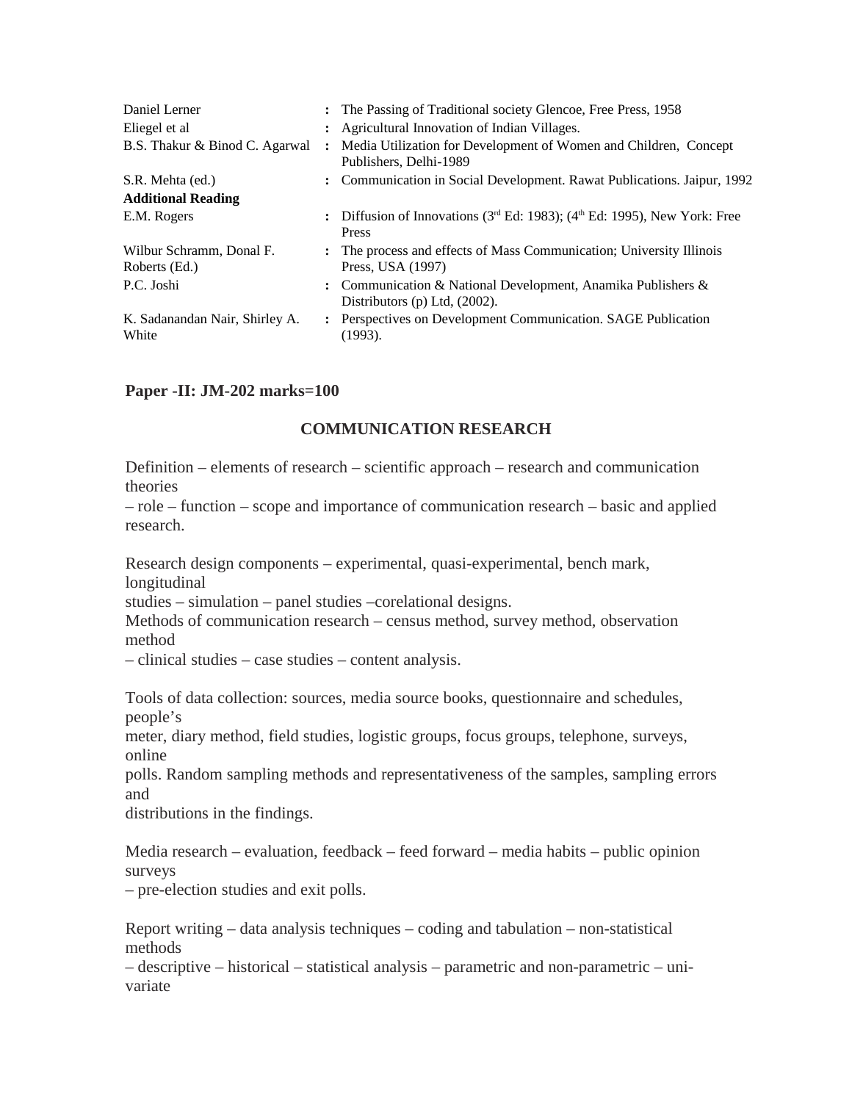| Daniel Lerner                             |                | : The Passing of Traditional society Glencoe, Free Press, 1958                                     |
|-------------------------------------------|----------------|----------------------------------------------------------------------------------------------------|
| Eliegel et al                             |                | Agricultural Innovation of Indian Villages.                                                        |
| B.S. Thakur & Binod C. Agarwal            | $\ddot{\cdot}$ | Media Utilization for Development of Women and Children, Concept<br>Publishers, Delhi-1989         |
| S.R. Mehta (ed.)                          |                | : Communication in Social Development. Rawat Publications. Jaipur, 1992                            |
| <b>Additional Reading</b>                 |                |                                                                                                    |
| E.M. Rogers                               |                | : Diffusion of Innovations ( $3rd$ Ed: 1983); ( $4th$ Ed: 1995), New York: Free<br><b>Press</b>    |
| Wilbur Schramm, Donal F.<br>Roberts (Ed.) |                | : The process and effects of Mass Communication; University Illinois<br>Press, USA (1997)          |
| P.C. Joshi                                |                | : Communication & National Development, Anamika Publishers &<br>Distributors $(p)$ Ltd, $(2002)$ . |
| K. Sadanandan Nair, Shirley A.<br>White   |                | Perspectives on Development Communication. SAGE Publication<br>(1993).                             |
|                                           |                |                                                                                                    |

# **Paper -II: JM-202 marks=100**

# **COMMUNICATION RESEARCH**

Definition – elements of research – scientific approach – research and communication theories

– role – function – scope and importance of communication research – basic and applied research.

Research design components – experimental, quasi-experimental, bench mark, longitudinal

studies – simulation – panel studies –corelational designs.

Methods of communication research – census method, survey method, observation method

– clinical studies – case studies – content analysis.

Tools of data collection: sources, media source books, questionnaire and schedules, people's

meter, diary method, field studies, logistic groups, focus groups, telephone, surveys, online

polls. Random sampling methods and representativeness of the samples, sampling errors and

distributions in the findings.

Media research – evaluation, feedback – feed forward – media habits – public opinion surveys

– pre-election studies and exit polls.

Report writing – data analysis techniques – coding and tabulation – non-statistical methods

– descriptive – historical – statistical analysis – parametric and non-parametric – univariate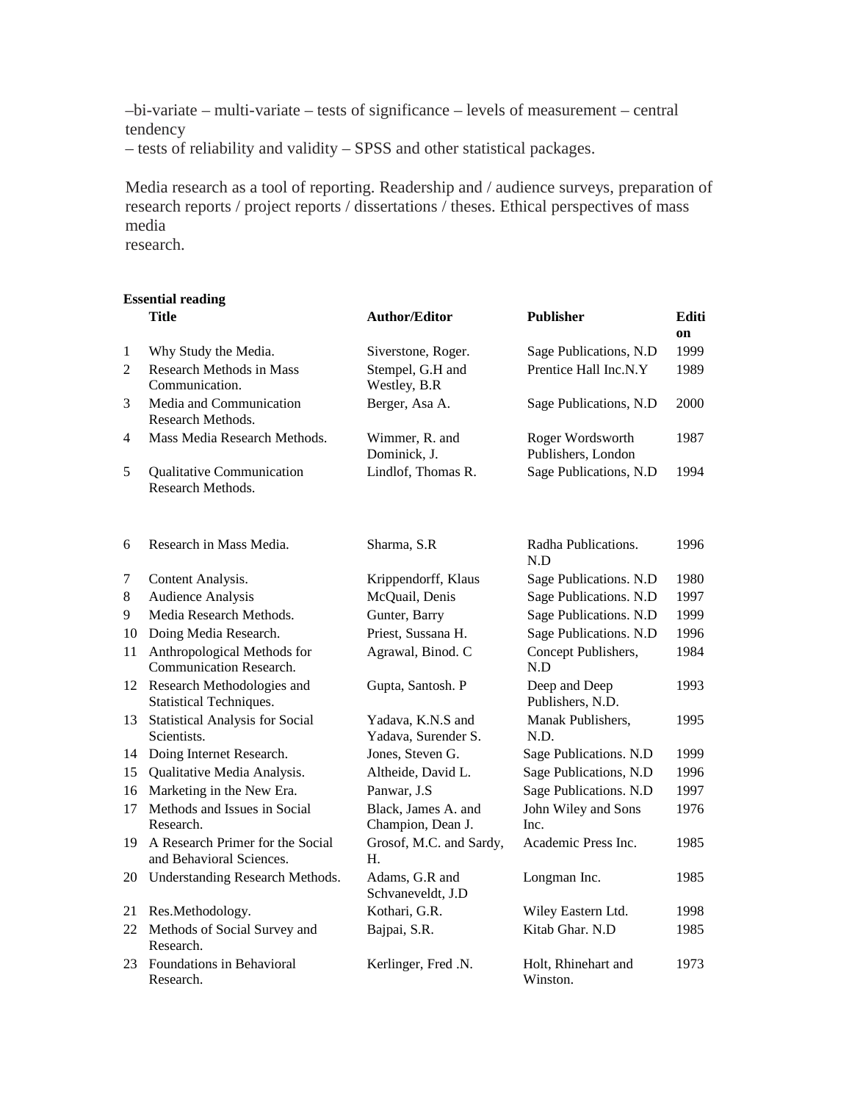–bi-variate – multi-variate – tests of significance – levels of measurement – central tendency

– tests of reliability and validity – SPSS and other statistical packages.

Media research as a tool of reporting. Readership and / audience surveys, preparation of research reports / project reports / dissertations / theses. Ethical perspectives of mass media

research.

|    | <b>Essential reading</b>                                     |                                          |                                        |             |
|----|--------------------------------------------------------------|------------------------------------------|----------------------------------------|-------------|
|    | <b>Title</b>                                                 | Author/Editor                            | Publisher                              | Editi<br>on |
| 1  | Why Study the Media.                                         | Siverstone, Roger.                       | Sage Publications, N.D                 | 1999        |
| 2  | Research Methods in Mass<br>Communication.                   | Stempel, G.H and<br>Westley, B.R         | Prentice Hall Inc.N.Y                  | 1989        |
| 3  | Media and Communication<br>Research Methods.                 | Berger, Asa A.                           | Sage Publications, N.D                 | 2000        |
| 4  | Mass Media Research Methods.                                 | Wimmer, R. and<br>Dominick, J.           | Roger Wordsworth<br>Publishers, London | 1987        |
| 5  | <b>Qualitative Communication</b><br>Research Methods.        | Lindlof, Thomas R.                       | Sage Publications, N.D                 | 1994        |
| 6  | Research in Mass Media.                                      | Sharma, S.R.                             | Radha Publications.<br>N.D             | 1996        |
| 7  | Content Analysis.                                            | Krippendorff, Klaus                      | Sage Publications. N.D                 | 1980        |
| 8  | <b>Audience Analysis</b>                                     | McQuail, Denis                           | Sage Publications. N.D                 | 1997        |
| 9  | Media Research Methods.                                      | Gunter, Barry                            | Sage Publications. N.D                 | 1999        |
| 10 | Doing Media Research.                                        | Priest, Sussana H.                       | Sage Publications. N.D                 | 1996        |
| 11 | Anthropological Methods for<br>Communication Research.       | Agrawal, Binod. C                        | Concept Publishers,<br>N.D             | 1984        |
| 12 | Research Methodologies and<br>Statistical Techniques.        | Gupta, Santosh. P                        | Deep and Deep<br>Publishers, N.D.      | 1993        |
| 13 | <b>Statistical Analysis for Social</b><br>Scientists.        | Yadava, K.N.S and<br>Yadava, Surender S. | Manak Publishers,<br>N.D.              | 1995        |
| 14 | Doing Internet Research.                                     | Jones, Steven G.                         | Sage Publications. N.D                 | 1999        |
| 15 | Qualitative Media Analysis.                                  | Altheide, David L.                       | Sage Publications, N.D                 | 1996        |
| 16 | Marketing in the New Era.                                    | Panwar, J.S                              | Sage Publications. N.D                 | 1997        |
| 17 | Methods and Issues in Social<br>Research.                    | Black, James A. and<br>Champion, Dean J. | John Wiley and Sons<br>Inc.            | 1976        |
| 19 | A Research Primer for the Social<br>and Behavioral Sciences. | Grosof, M.C. and Sardy,<br>Н.            | Academic Press Inc.                    | 1985        |
| 20 | <b>Understanding Research Methods.</b>                       | Adams, G.R and<br>Schvaneveldt, J.D      | Longman Inc.                           | 1985        |
| 21 | Res.Methodology.                                             | Kothari, G.R.                            | Wiley Eastern Ltd.                     | 1998        |
| 22 | Methods of Social Survey and<br>Research.                    | Bajpai, S.R.                             | Kitab Ghar. N.D                        | 1985        |
| 23 | Foundations in Behavioral<br>Research.                       | Kerlinger, Fred .N.                      | Holt, Rhinehart and<br>Winston.        | 1973        |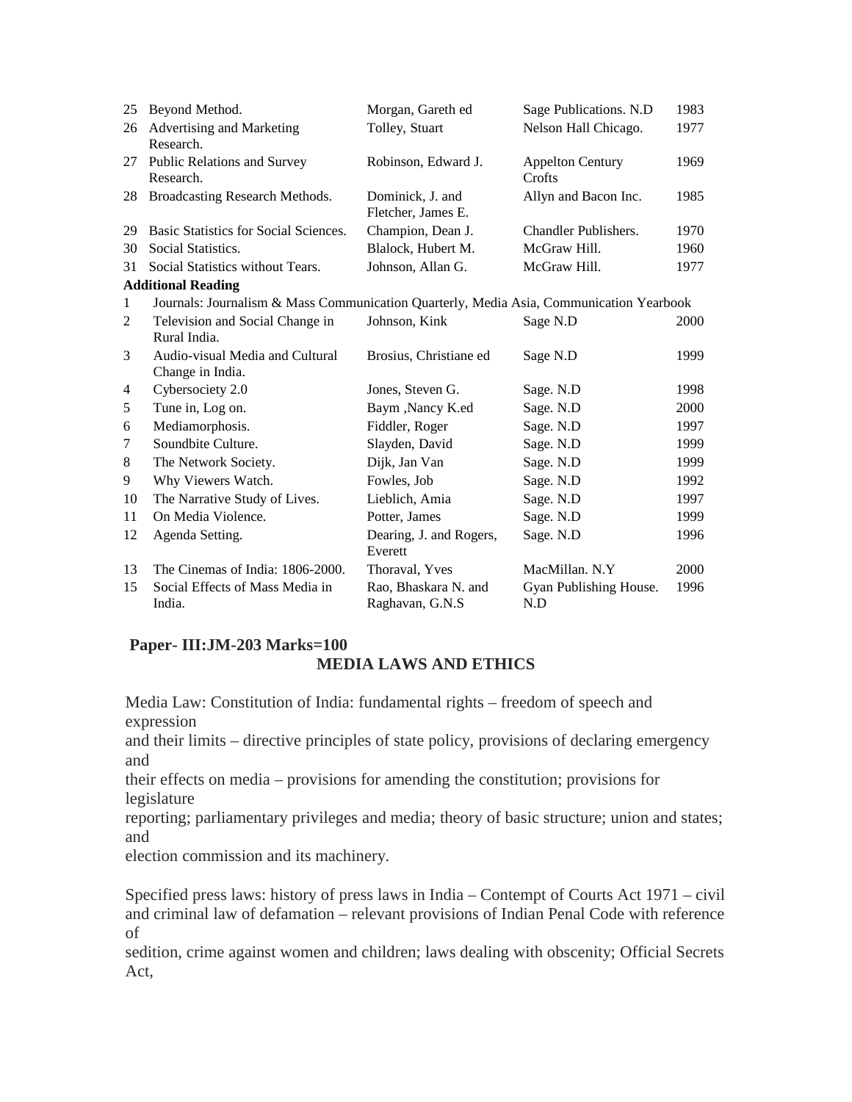| 25           | Beyond Method.                                                                          | Morgan, Gareth ed                       | Sage Publications. N.D            | 1983 |
|--------------|-----------------------------------------------------------------------------------------|-----------------------------------------|-----------------------------------|------|
| 26           | Advertising and Marketing<br>Research.                                                  | Tolley, Stuart                          | Nelson Hall Chicago.              | 1977 |
| 27           | Public Relations and Survey<br>Research.                                                | Robinson, Edward J.                     | <b>Appelton Century</b><br>Crofts | 1969 |
| 28           | Broadcasting Research Methods.                                                          | Dominick, J. and<br>Fletcher, James E.  | Allyn and Bacon Inc.              | 1985 |
| 29           | <b>Basic Statistics for Social Sciences.</b>                                            | Champion, Dean J.                       | Chandler Publishers.              | 1970 |
| 30           | Social Statistics.                                                                      | Blalock, Hubert M.                      | McGraw Hill.                      | 1960 |
| 31           | Social Statistics without Tears.                                                        | Johnson, Allan G.                       | McGraw Hill.                      | 1977 |
|              | <b>Additional Reading</b>                                                               |                                         |                                   |      |
| $\mathbf{1}$ | Journals: Journalism & Mass Communication Quarterly, Media Asia, Communication Yearbook |                                         |                                   |      |
| 2            | Television and Social Change in<br>Rural India.                                         | Johnson, Kink                           | Sage N.D                          | 2000 |
| 3            | Audio-visual Media and Cultural<br>Change in India.                                     | Brosius, Christiane ed                  | Sage N.D                          | 1999 |
| 4            | Cybersociety 2.0                                                                        | Jones, Steven G.                        | Sage. N.D                         | 1998 |
| 5            | Tune in, Log on.                                                                        | Baym , Nancy K.ed                       | Sage. N.D                         | 2000 |
| 6            | Mediamorphosis.                                                                         | Fiddler, Roger                          | Sage. N.D                         | 1997 |
| 7            | Soundbite Culture.                                                                      | Slayden, David                          | Sage. N.D                         | 1999 |
| 8            | The Network Society.                                                                    | Dijk, Jan Van                           | Sage. N.D                         | 1999 |
| 9            | Why Viewers Watch.                                                                      | Fowles, Job                             | Sage. N.D                         | 1992 |
| 10           | The Narrative Study of Lives.                                                           | Lieblich, Amia                          | Sage. N.D                         | 1997 |
| 11           | On Media Violence.                                                                      | Potter, James                           | Sage. N.D                         | 1999 |
| 12           | Agenda Setting.                                                                         | Dearing, J. and Rogers,<br>Everett      | Sage. N.D                         | 1996 |
| 13           | The Cinemas of India: 1806-2000.                                                        | Thoraval, Yves                          | MacMillan. N.Y                    | 2000 |
| 15           | Social Effects of Mass Media in<br>India.                                               | Rao, Bhaskara N. and<br>Raghavan, G.N.S | Gyan Publishing House.<br>N.D     | 1996 |

# **Paper- III:JM-203 Marks=100**

# **MEDIA LAWS AND ETHICS**

Media Law: Constitution of India: fundamental rights – freedom of speech and expression

and their limits – directive principles of state policy, provisions of declaring emergency and

their effects on media – provisions for amending the constitution; provisions for legislature

reporting; parliamentary privileges and media; theory of basic structure; union and states; and

election commission and its machinery.

Specified press laws: history of press laws in India – Contempt of Courts Act 1971 – civil and criminal law of defamation – relevant provisions of Indian Penal Code with reference of

sedition, crime against women and children; laws dealing with obscenity; Official Secrets Act,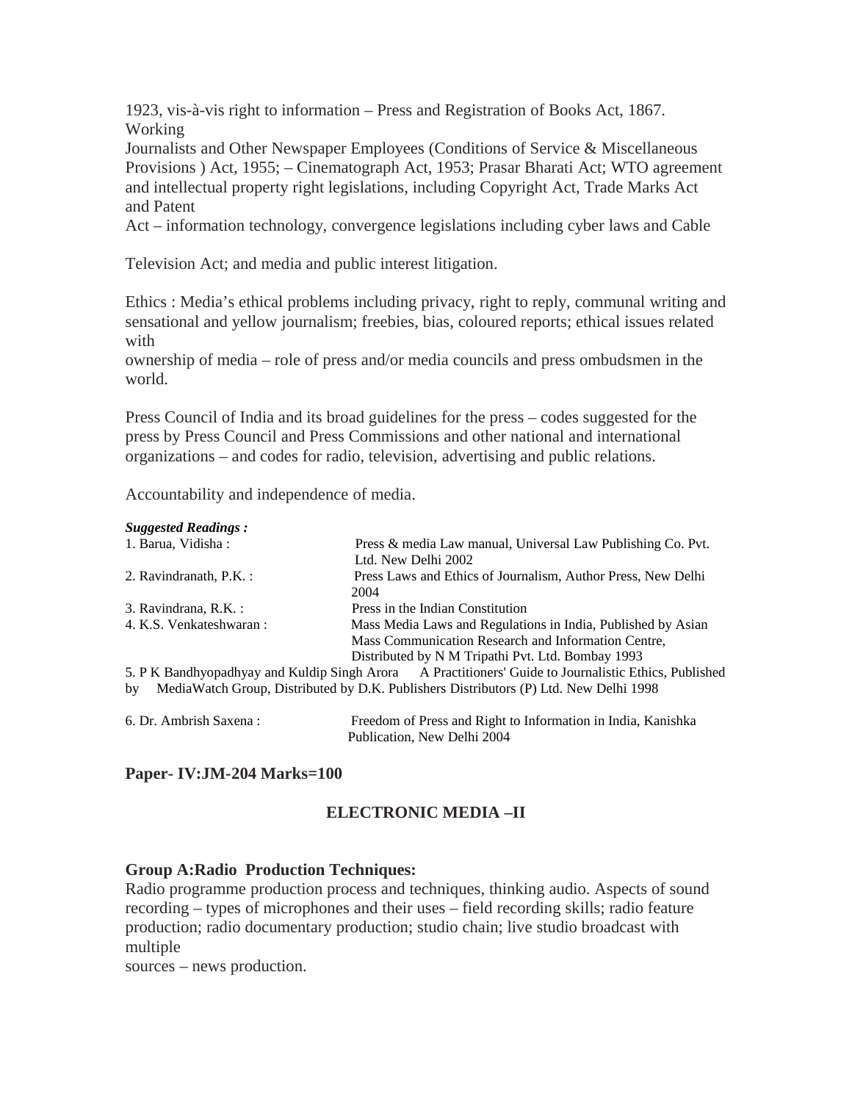1923, vis-à-vis right to information – Press and Registration of Books Act, 1867. Working

Journalists and Other Newspaper Employees (Conditions of Service & Miscellaneous Provisions ) Act, 1955; – Cinematograph Act, 1953; Prasar Bharati Act; WTO agreement and intellectual property right legislations, including Copyright Act, Trade Marks Act and Patent

Act – information technology, convergence legislations including cyber laws and Cable

Television Act; and media and public interest litigation.

Ethics : Media's ethical problems including privacy, right to reply, communal writing and sensational and yellow journalism; freebies, bias, coloured reports; ethical issues related with

ownership of media – role of press and/or media councils and press ombudsmen in the world.

Press Council of India and its broad guidelines for the press – codes suggested for the press by Press Council and Press Commissions and other national and international organizations – and codes for radio, television, advertising and public relations.

Accountability and independence of media.

#### *Suggested Readings :*

| 1. Barua, Vidisha :     | Press & media Law manual, Universal Law Publishing Co. Pvt.                                           |
|-------------------------|-------------------------------------------------------------------------------------------------------|
|                         | Ltd. New Delhi 2002                                                                                   |
| 2. Ravindranath, P.K. : | Press Laws and Ethics of Journalism, Author Press, New Delhi                                          |
|                         | 2004                                                                                                  |
| 3. Ravindrana, R.K.:    | Press in the Indian Constitution                                                                      |
| 4. K.S. Venkateshwaran: | Mass Media Laws and Regulations in India, Published by Asian                                          |
|                         | Mass Communication Research and Information Centre,                                                   |
|                         | Distributed by N M Tripathi Pvt. Ltd. Bombay 1993                                                     |
|                         | 5. P K Bandhyopadhyay and Kuldip Singh Arora A Practitioners' Guide to Journalistic Ethics, Published |
| by                      | MediaWatch Group, Distributed by D.K. Publishers Distributors (P) Ltd. New Delhi 1998                 |
|                         |                                                                                                       |
|                         |                                                                                                       |

6. Dr. Ambrish Saxena : Freedom of Press and Right to Information in India, Kanishka Publication, New Delhi 2004

## **Paper- IV:JM-204 Marks=100**

# **ELECTRONIC MEDIA –II**

#### **Group A:Radio Production Techniques:**

Radio programme production process and techniques, thinking audio. Aspects of sound recording – types of microphones and their uses – field recording skills; radio feature production; radio documentary production; studio chain; live studio broadcast with multiple

sources – news production.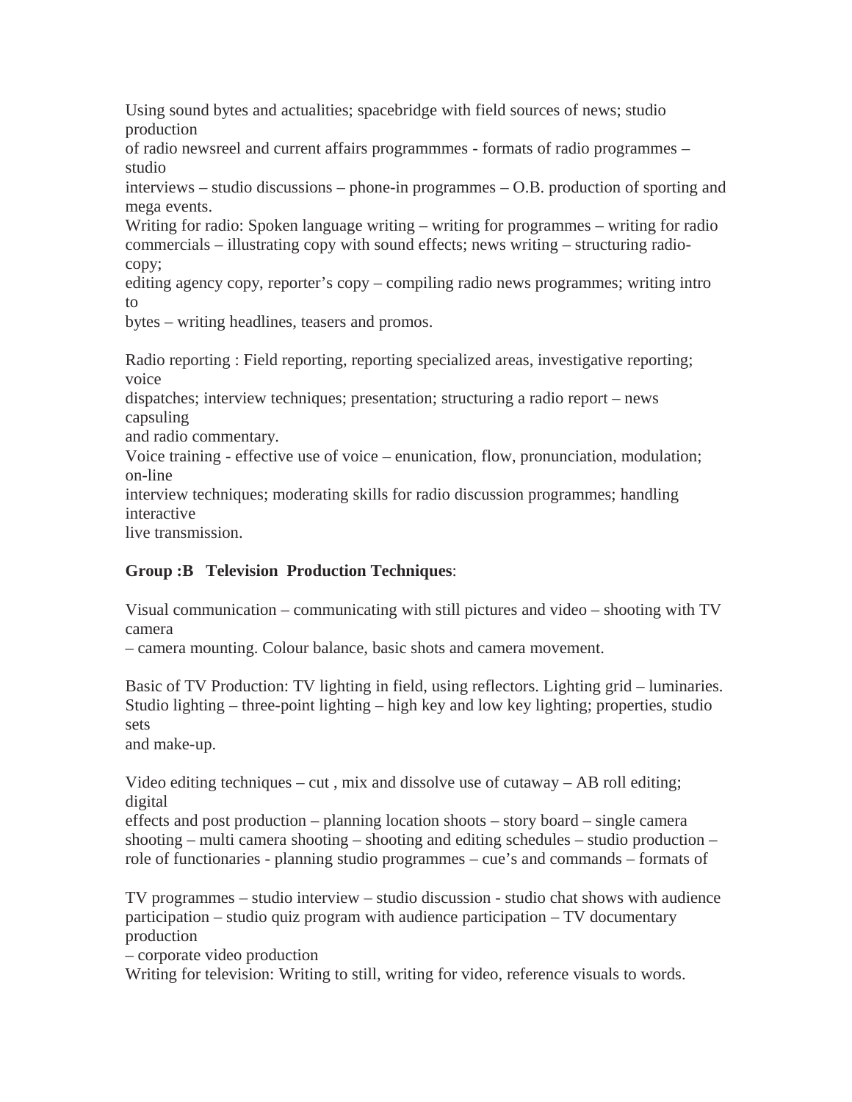Using sound bytes and actualities; spacebridge with field sources of news; studio production

of radio newsreel and current affairs programmmes - formats of radio programmes – studio

interviews – studio discussions – phone-in programmes – O.B. production of sporting and mega events.

Writing for radio: Spoken language writing – writing for programmes – writing for radio commercials – illustrating copy with sound effects; news writing – structuring radiocopy;

editing agency copy, reporter's copy – compiling radio news programmes; writing intro to

bytes – writing headlines, teasers and promos.

Radio reporting : Field reporting, reporting specialized areas, investigative reporting; voice

dispatches; interview techniques; presentation; structuring a radio report – news capsuling

and radio commentary.

Voice training - effective use of voice – enunication, flow, pronunciation, modulation; on-line

interview techniques; moderating skills for radio discussion programmes; handling interactive

live transmission.

# **Group :B Television Production Techniques**:

Visual communication – communicating with still pictures and video – shooting with TV camera

– camera mounting. Colour balance, basic shots and camera movement.

Basic of TV Production: TV lighting in field, using reflectors. Lighting grid – luminaries. Studio lighting – three-point lighting – high key and low key lighting; properties, studio sets

and make-up.

Video editing techniques – cut, mix and dissolve use of cutaway – AB roll editing; digital

effects and post production – planning location shoots – story board – single camera shooting – multi camera shooting – shooting and editing schedules – studio production – role of functionaries - planning studio programmes – cue's and commands – formats of

TV programmes – studio interview – studio discussion - studio chat shows with audience participation – studio quiz program with audience participation – TV documentary production

– corporate video production

Writing for television: Writing to still, writing for video, reference visuals to words.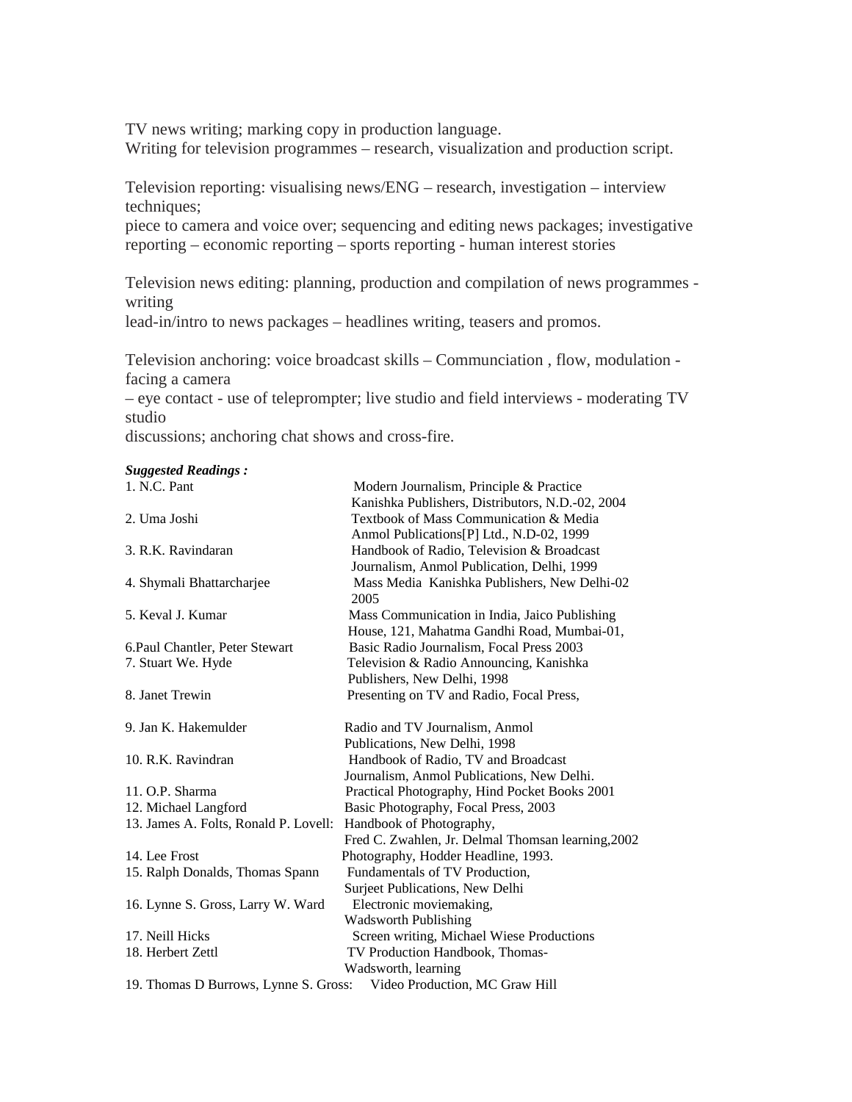TV news writing; marking copy in production language.

Writing for television programmes – research, visualization and production script.

Television reporting: visualising news/ENG – research, investigation – interview techniques;

piece to camera and voice over; sequencing and editing news packages; investigative reporting – economic reporting – sports reporting - human interest stories

Television news editing: planning, production and compilation of news programmes writing

lead-in/intro to news packages – headlines writing, teasers and promos.

Television anchoring: voice broadcast skills – Communciation , flow, modulation facing a camera

– eye contact - use of teleprompter; live studio and field interviews - moderating TV studio

discussions; anchoring chat shows and cross-fire.

#### *Suggested Readings :*

| 1. N.C. Pant                          | Modern Journalism, Principle & Practice            |
|---------------------------------------|----------------------------------------------------|
|                                       | Kanishka Publishers, Distributors, N.D.-02, 2004   |
| 2. Uma Joshi                          | Textbook of Mass Communication & Media             |
|                                       | Anmol Publications[P] Ltd., N.D-02, 1999           |
| 3. R.K. Ravindaran                    | Handbook of Radio, Television & Broadcast          |
|                                       | Journalism, Anmol Publication, Delhi, 1999         |
| 4. Shymali Bhattarcharjee             | Mass Media Kanishka Publishers, New Delhi-02       |
|                                       | 2005                                               |
| 5. Keval J. Kumar                     | Mass Communication in India, Jaico Publishing      |
|                                       | House, 121, Mahatma Gandhi Road, Mumbai-01,        |
| 6. Paul Chantler, Peter Stewart       | Basic Radio Journalism, Focal Press 2003           |
| 7. Stuart We. Hyde                    | Television & Radio Announcing, Kanishka            |
|                                       | Publishers, New Delhi, 1998                        |
| 8. Janet Trewin                       | Presenting on TV and Radio, Focal Press,           |
| 9. Jan K. Hakemulder                  | Radio and TV Journalism, Anmol                     |
|                                       | Publications, New Delhi, 1998                      |
| 10. R.K. Ravindran                    | Handbook of Radio, TV and Broadcast                |
|                                       | Journalism, Anmol Publications, New Delhi.         |
| 11. O.P. Sharma                       | Practical Photography, Hind Pocket Books 2001      |
| 12. Michael Langford                  | Basic Photography, Focal Press, 2003               |
| 13. James A. Folts, Ronald P. Lovell: | Handbook of Photography,                           |
|                                       | Fred C. Zwahlen, Jr. Delmal Thomsan learning, 2002 |
| 14. Lee Frost                         | Photography, Hodder Headline, 1993.                |
| 15. Ralph Donalds, Thomas Spann       | Fundamentals of TV Production,                     |
|                                       | Surjeet Publications, New Delhi                    |
| 16. Lynne S. Gross, Larry W. Ward     | Electronic moviemaking,                            |
|                                       | <b>Wadsworth Publishing</b>                        |
| 17. Neill Hicks                       | Screen writing, Michael Wiese Productions          |
| 18. Herbert Zettl                     | TV Production Handbook, Thomas-                    |
|                                       | Wadsworth, learning                                |
| 19. Thomas D Burrows, Lynne S. Gross: | Video Production, MC Graw Hill                     |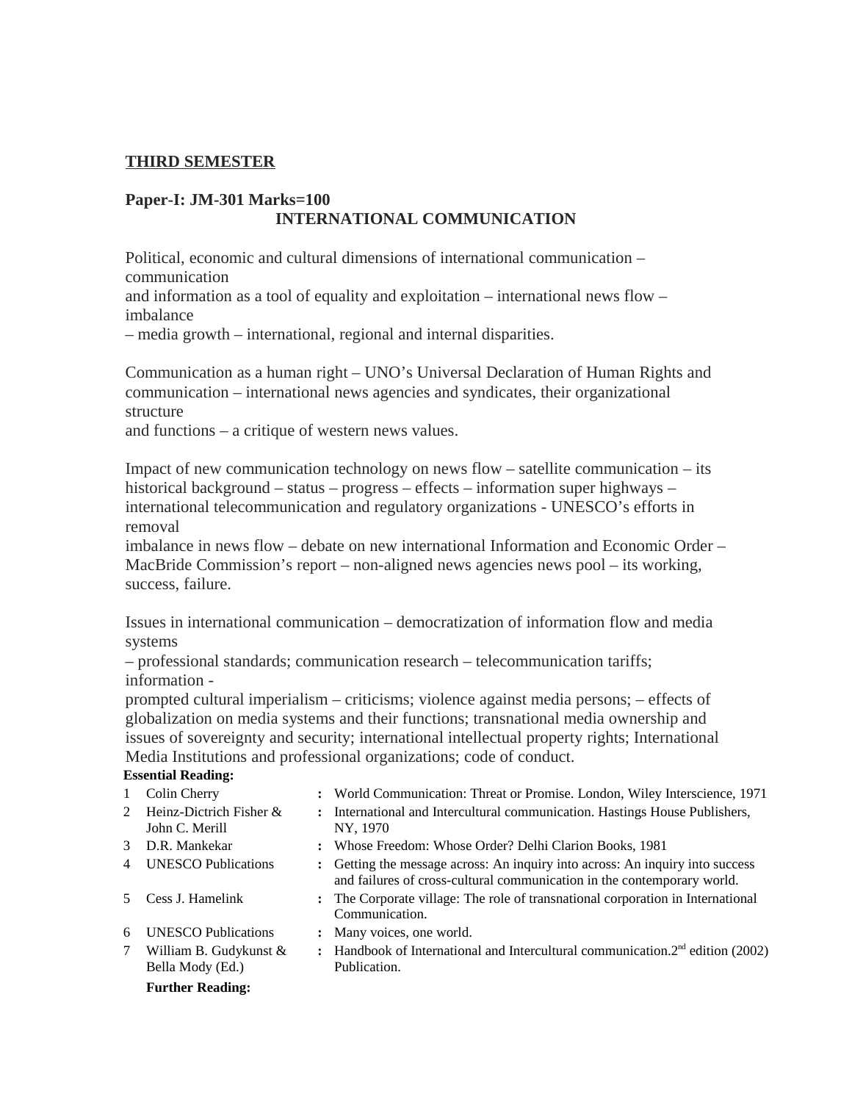## **THIRD SEMESTER**

## **Paper-I: JM-301 Marks=100 INTERNATIONAL COMMUNICATION**

Political, economic and cultural dimensions of international communication – communication

and information as a tool of equality and exploitation – international news flow – imbalance

– media growth – international, regional and internal disparities.

Communication as a human right – UNO's Universal Declaration of Human Rights and communication – international news agencies and syndicates, their organizational structure

and functions – a critique of western news values.

Impact of new communication technology on news flow – satellite communication – its historical background – status – progress – effects – information super highways – international telecommunication and regulatory organizations - UNESCO's efforts in removal

imbalance in news flow – debate on new international Information and Economic Order – MacBride Commission's report – non-aligned news agencies news pool – its working, success, failure.

Issues in international communication – democratization of information flow and media systems

– professional standards; communication research – telecommunication tariffs; information -

NY, 1970

prompted cultural imperialism – criticisms; violence against media persons; – effects of globalization on media systems and their functions; transnational media ownership and issues of sovereignty and security; international intellectual property rights; International Media Institutions and professional organizations; code of conduct.

#### **Essential Reading:**

- 
- 1 Colin Cherry **:** World Communication: Threat or Promise. London, Wiley Interscience, 1971
- 2 Heinz-Dictrich Fisher & John C. Merill
- **:** International and Intercultural communication. Hastings House Publishers,
- 
- 3 D.R. Mankekar **:** Whose Freedom: Whose Order? Delhi Clarion Books, 1981
- 4 UNESCO Publications **:** Getting the message across: An inquiry into across: An inquiry into success and failures of cross-cultural communication in the contemporary world.
- 5 Cess J. Hamelink **:** The Corporate village: The role of transnational corporation in International Communication.
- 6 UNESCO Publications **:** Many voices, one world.
- 7 William B. Gudykunst & Bella Mody (Ed.)
- **:** Handbook of International and Intercultural communication.2nd edition (2002) Publication.

#### **Further Reading:**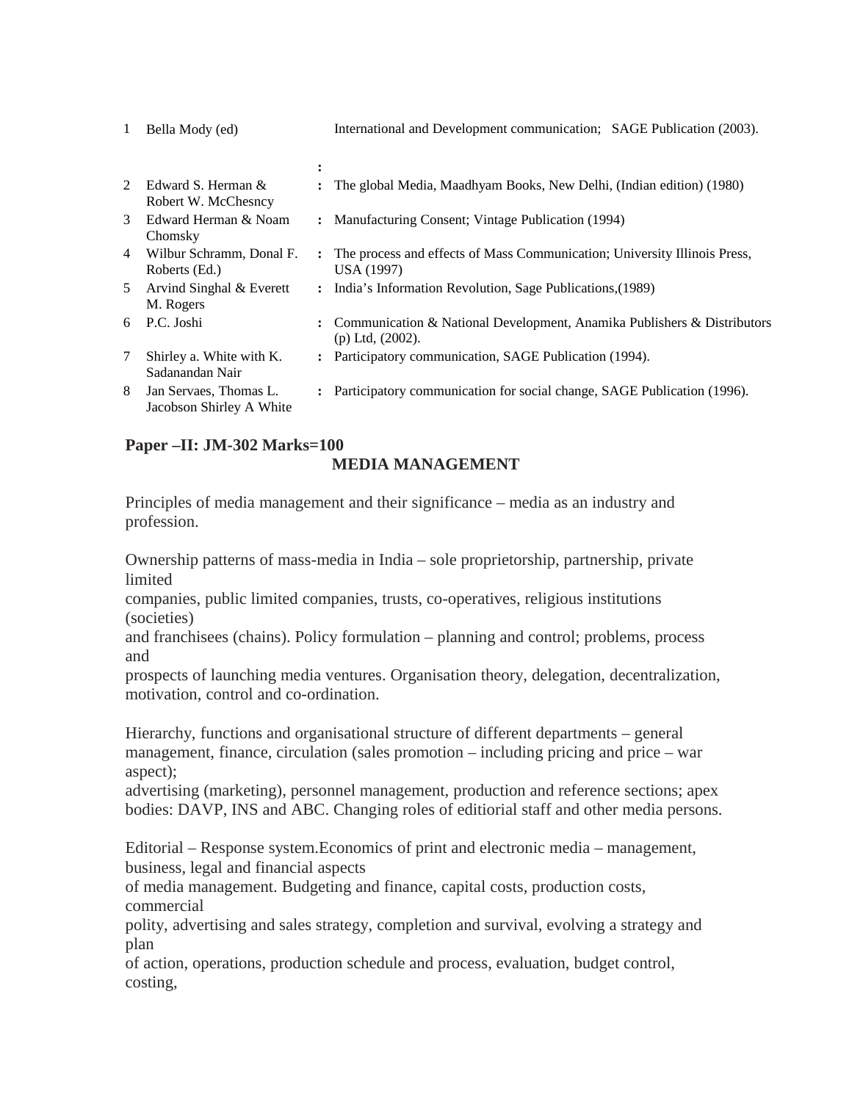| $\mathbf{1}$ | Bella Mody (ed)                                    |                      | International and Development communication; SAGE Publication (2003).                         |
|--------------|----------------------------------------------------|----------------------|-----------------------------------------------------------------------------------------------|
|              |                                                    | ٠                    |                                                                                               |
| 2            | Edward S. Herman &<br>Robert W. McChesncy          |                      | The global Media, Maadhyam Books, New Delhi, (Indian edition) (1980)                          |
| 3            | Edward Herman & Noam<br>Chomsky                    |                      | : Manufacturing Consent; Vintage Publication (1994)                                           |
| 4            | Wilbur Schramm, Donal F.<br>Roberts (Ed.)          | $\ddot{\phantom{a}}$ | The process and effects of Mass Communication; University Illinois Press,<br>USA (1997)       |
| 5.           | Arvind Singhal & Everett<br>M. Rogers              |                      | : India's Information Revolution, Sage Publications, (1989)                                   |
| 6            | P.C. Joshi                                         |                      | : Communication & National Development, Anamika Publishers & Distributors<br>(p) Ltd, (2002). |
| 7            | Shirley a. White with K.<br>Sadanandan Nair        |                      | : Participatory communication, SAGE Publication (1994).                                       |
| 8            | Jan Servaes, Thomas L.<br>Jacobson Shirley A White |                      | Participatory communication for social change, SAGE Publication (1996).                       |

## **Paper –II: JM-302 Marks=100**

## **MEDIA MANAGEMENT**

Principles of media management and their significance – media as an industry and profession.

Ownership patterns of mass-media in India – sole proprietorship, partnership, private limited

companies, public limited companies, trusts, co-operatives, religious institutions (societies)

and franchisees (chains). Policy formulation – planning and control; problems, process and

prospects of launching media ventures. Organisation theory, delegation, decentralization, motivation, control and co-ordination.

Hierarchy, functions and organisational structure of different departments – general management, finance, circulation (sales promotion – including pricing and price – war aspect);

advertising (marketing), personnel management, production and reference sections; apex bodies: DAVP, INS and ABC. Changing roles of editiorial staff and other media persons.

Editorial – Response system.Economics of print and electronic media – management, business, legal and financial aspects

of media management. Budgeting and finance, capital costs, production costs, commercial

polity, advertising and sales strategy, completion and survival, evolving a strategy and plan

of action, operations, production schedule and process, evaluation, budget control, costing,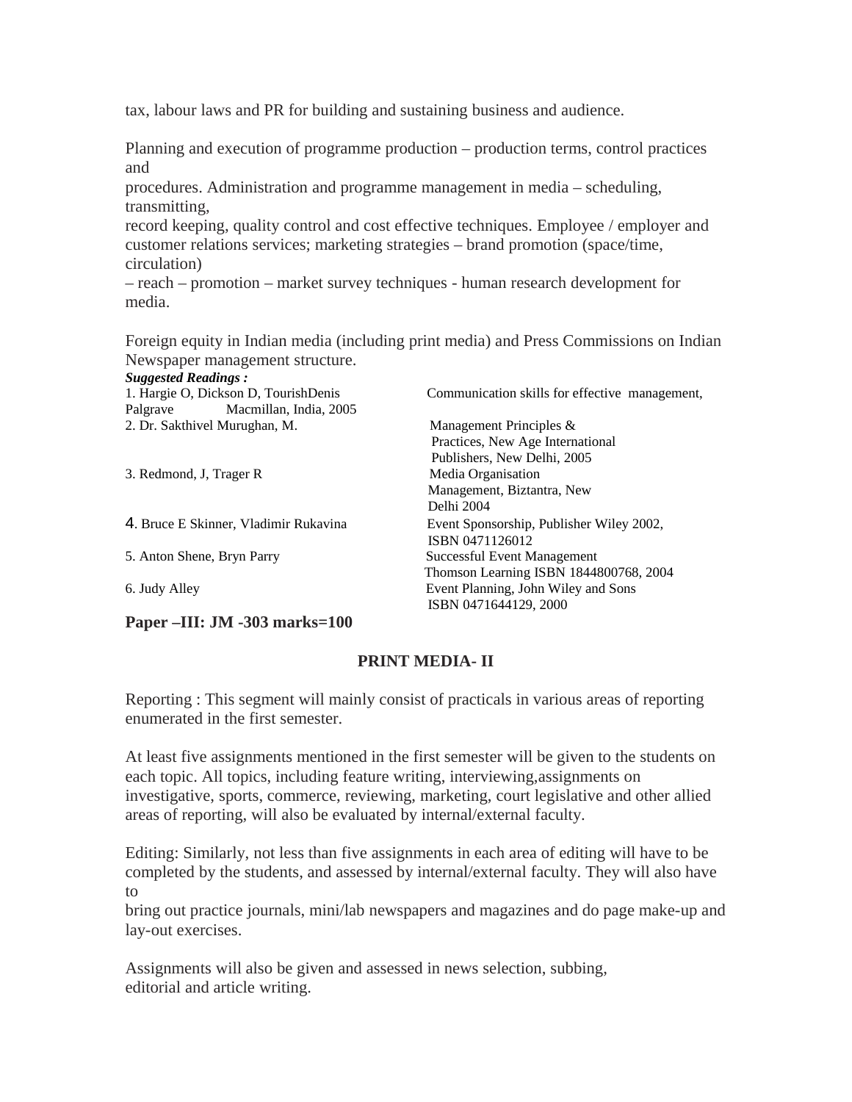tax, labour laws and PR for building and sustaining business and audience.

Planning and execution of programme production – production terms, control practices and

procedures. Administration and programme management in media – scheduling, transmitting,

record keeping, quality control and cost effective techniques. Employee / employer and customer relations services; marketing strategies – brand promotion (space/time, circulation)

– reach – promotion – market survey techniques - human research development for media.

Foreign equity in Indian media (including print media) and Press Commissions on Indian Newspaper management structure.

| <b>Suggested Readings:</b>            |                                                |
|---------------------------------------|------------------------------------------------|
| 1. Hargie O, Dickson D, TourishDenis  | Communication skills for effective management, |
| Macmillan, India, 2005<br>Palgrave    |                                                |
| 2. Dr. Sakthivel Murughan, M.         | Management Principles &                        |
|                                       | Practices, New Age International               |
|                                       | Publishers, New Delhi, 2005                    |
| 3. Redmond, J, Trager R               | Media Organisation                             |
|                                       | Management, Biztantra, New                     |
|                                       | Delhi 2004                                     |
| 4. Bruce E Skinner, Vladimir Rukavina | Event Sponsorship, Publisher Wiley 2002,       |
|                                       | ISBN 0471126012                                |
| 5. Anton Shene, Bryn Parry            | Successful Event Management                    |
|                                       | Thomson Learning ISBN 1844800768, 2004         |
| 6. Judy Alley                         | Event Planning, John Wiley and Sons            |
|                                       | ISBN 0471644129, 2000                          |
| 1 הה ו- הדידות החדר ה                 |                                                |

# **Paper –III: JM -303 marks=100**

# **PRINT MEDIA- II**

Reporting : This segment will mainly consist of practicals in various areas of reporting enumerated in the first semester.

At least five assignments mentioned in the first semester will be given to the students on each topic. All topics, including feature writing, interviewing,assignments on investigative, sports, commerce, reviewing, marketing, court legislative and other allied areas of reporting, will also be evaluated by internal/external faculty.

Editing: Similarly, not less than five assignments in each area of editing will have to be completed by the students, and assessed by internal/external faculty. They will also have to

bring out practice journals, mini/lab newspapers and magazines and do page make-up and lay-out exercises.

Assignments will also be given and assessed in news selection, subbing, editorial and article writing.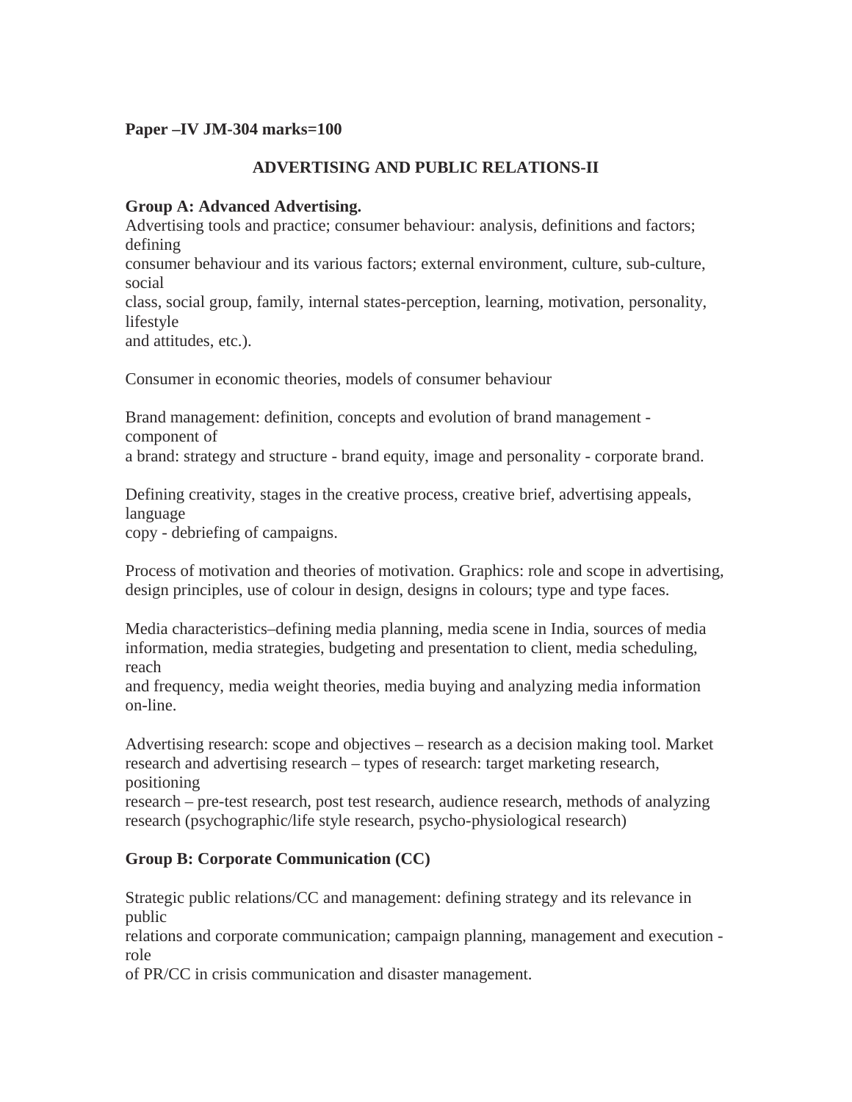## **Paper –IV JM-304 marks=100**

## **ADVERTISING AND PUBLIC RELATIONS-II**

## **Group A: Advanced Advertising.**

Advertising tools and practice; consumer behaviour: analysis, definitions and factors; defining consumer behaviour and its various factors; external environment, culture, sub-culture, social class, social group, family, internal states-perception, learning, motivation, personality, lifestyle

and attitudes, etc.).

Consumer in economic theories, models of consumer behaviour

Brand management: definition, concepts and evolution of brand management component of

a brand: strategy and structure - brand equity, image and personality - corporate brand.

Defining creativity, stages in the creative process, creative brief, advertising appeals, language

copy - debriefing of campaigns.

Process of motivation and theories of motivation. Graphics: role and scope in advertising, design principles, use of colour in design, designs in colours; type and type faces.

Media characteristics–defining media planning, media scene in India, sources of media information, media strategies, budgeting and presentation to client, media scheduling, reach

and frequency, media weight theories, media buying and analyzing media information on-line.

Advertising research: scope and objectives – research as a decision making tool. Market research and advertising research – types of research: target marketing research, positioning

research – pre-test research, post test research, audience research, methods of analyzing research (psychographic/life style research, psycho-physiological research)

# **Group B: Corporate Communication (CC)**

Strategic public relations/CC and management: defining strategy and its relevance in public

relations and corporate communication; campaign planning, management and execution role

of PR/CC in crisis communication and disaster management.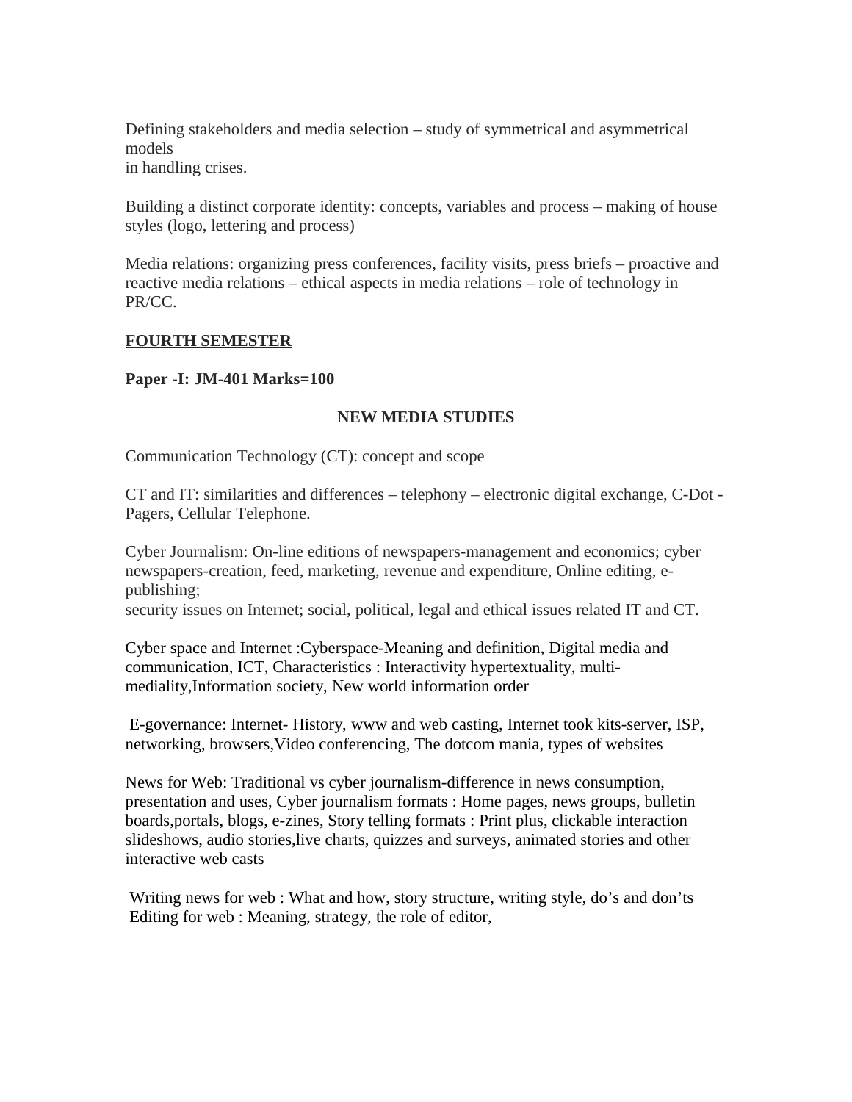Defining stakeholders and media selection – study of symmetrical and asymmetrical models in handling crises.

Building a distinct corporate identity: concepts, variables and process – making of house styles (logo, lettering and process)

Media relations: organizing press conferences, facility visits, press briefs – proactive and reactive media relations – ethical aspects in media relations – role of technology in PR/CC.

## **FOURTH SEMESTER**

## **Paper -I: JM-401 Marks=100**

## **NEW MEDIA STUDIES**

Communication Technology (CT): concept and scope

CT and IT: similarities and differences – telephony – electronic digital exchange, C-Dot - Pagers, Cellular Telephone.

Cyber Journalism: On-line editions of newspapers-management and economics; cyber newspapers-creation, feed, marketing, revenue and expenditure, Online editing, epublishing;

security issues on Internet; social, political, legal and ethical issues related IT and CT.

Cyber space and Internet :Cyberspace-Meaning and definition, Digital media and communication, ICT, Characteristics : Interactivity hypertextuality, multimediality,Information society, New world information order

 E-governance: Internet- History, www and web casting, Internet took kits-server, ISP, networking, browsers,Video conferencing, The dotcom mania, types of websites

News for Web: Traditional vs cyber journalism-difference in news consumption, presentation and uses, Cyber journalism formats : Home pages, news groups, bulletin boards,portals, blogs, e-zines, Story telling formats : Print plus, clickable interaction slideshows, audio stories,live charts, quizzes and surveys, animated stories and other interactive web casts

 Writing news for web : What and how, story structure, writing style, do's and don'ts Editing for web : Meaning, strategy, the role of editor,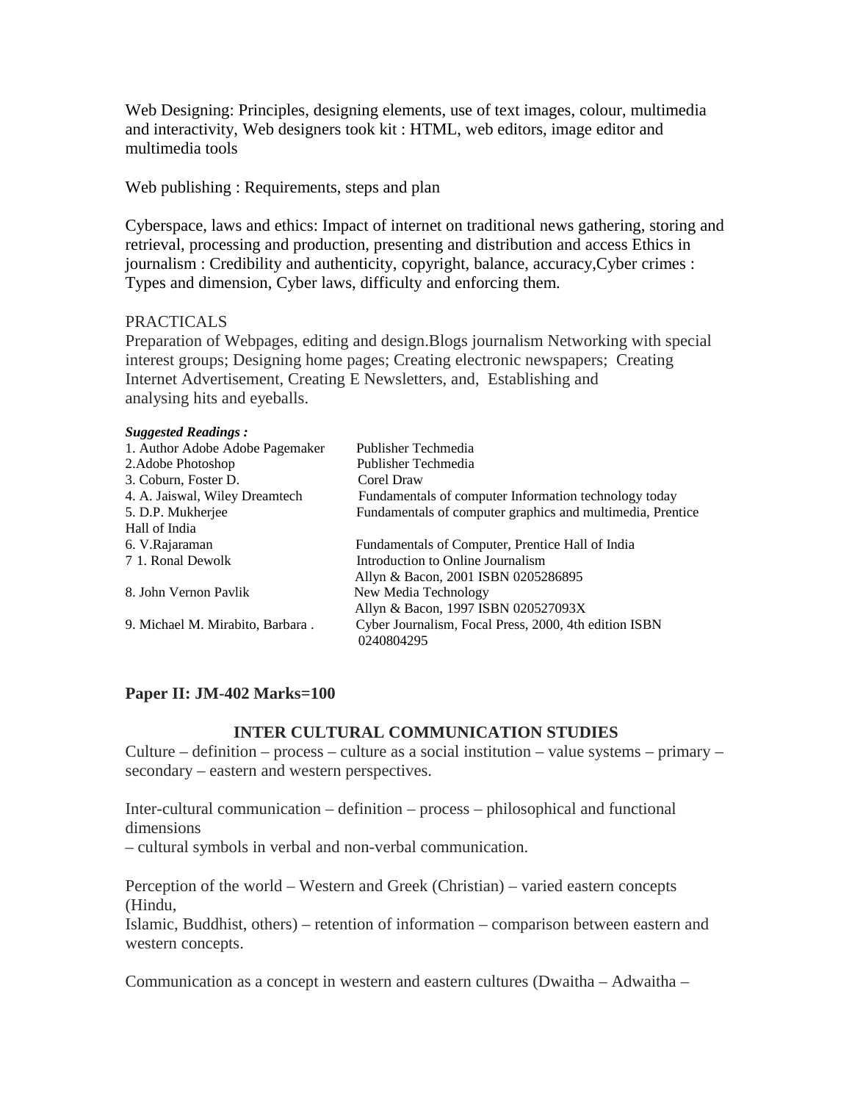Web Designing: Principles, designing elements, use of text images, colour, multimedia and interactivity, Web designers took kit : HTML, web editors, image editor and multimedia tools

Web publishing : Requirements, steps and plan

Cyberspace, laws and ethics: Impact of internet on traditional news gathering, storing and retrieval, processing and production, presenting and distribution and access Ethics in journalism : Credibility and authenticity, copyright, balance, accuracy,Cyber crimes : Types and dimension, Cyber laws, difficulty and enforcing them.

## PRACTICALS

Preparation of Webpages, editing and design.Blogs journalism Networking with special interest groups; Designing home pages; Creating electronic newspapers; Creating Internet Advertisement, Creating E Newsletters, and, Establishing and analysing hits and eyeballs.

#### *Suggested Readings :*

| 1. Author Adobe Adobe Pagemaker  | Publisher Techmedia                                                 |
|----------------------------------|---------------------------------------------------------------------|
| 2. Adobe Photoshop               | Publisher Techmedia                                                 |
| 3. Coburn, Foster D.             | Corel Draw                                                          |
| 4. A. Jaiswal, Wiley Dreamtech   | Fundamentals of computer Information technology today               |
| 5. D.P. Mukherjee                | Fundamentals of computer graphics and multimedia, Prentice          |
| Hall of India                    |                                                                     |
| 6. V.Rajaraman                   | Fundamentals of Computer, Prentice Hall of India                    |
| 7 1. Ronal Dewolk                | Introduction to Online Journalism                                   |
|                                  | Allyn & Bacon, 2001 ISBN 0205286895                                 |
| 8. John Vernon Pavlik            | New Media Technology                                                |
|                                  | Allyn & Bacon, 1997 ISBN 020527093X                                 |
| 9. Michael M. Mirabito, Barbara. | Cyber Journalism, Focal Press, 2000, 4th edition ISBN<br>0240804295 |
|                                  |                                                                     |

## **Paper II: JM-402 Marks=100**

#### **INTER CULTURAL COMMUNICATION STUDIES**

Culture – definition – process – culture as a social institution – value systems – primary – secondary – eastern and western perspectives.

Inter-cultural communication – definition – process – philosophical and functional dimensions

– cultural symbols in verbal and non-verbal communication.

Perception of the world – Western and Greek (Christian) – varied eastern concepts (Hindu,

Islamic, Buddhist, others) – retention of information – comparison between eastern and western concepts.

Communication as a concept in western and eastern cultures (Dwaitha – Adwaitha –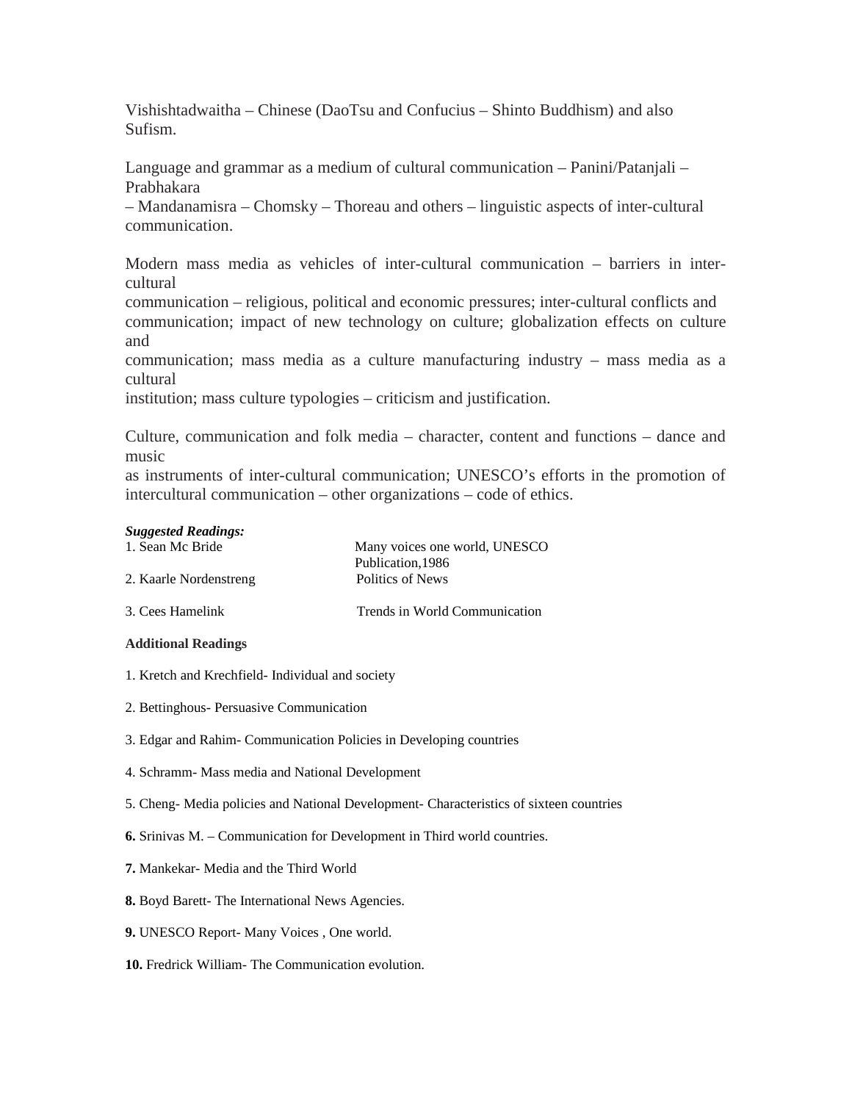Vishishtadwaitha – Chinese (DaoTsu and Confucius – Shinto Buddhism) and also Sufism.

Language and grammar as a medium of cultural communication – Panini/Patanjali – Prabhakara

– Mandanamisra – Chomsky – Thoreau and others – linguistic aspects of inter-cultural communication.

Modern mass media as vehicles of inter-cultural communication – barriers in intercultural

communication – religious, political and economic pressures; inter-cultural conflicts and communication; impact of new technology on culture; globalization effects on culture and

communication; mass media as a culture manufacturing industry – mass media as a cultural

institution; mass culture typologies – criticism and justification.

Culture, communication and folk media – character, content and functions – dance and music

as instruments of inter-cultural communication; UNESCO's efforts in the promotion of intercultural communication – other organizations – code of ethics.

#### *Suggested Readings:*

| 1. Sean Mc Bride       | Many voices one world, UNESCO |  |
|------------------------|-------------------------------|--|
|                        | Publication, 1986             |  |
| 2. Kaarle Nordenstreng | Politics of News              |  |
| 3. Cees Hamelink       | Trends in World Communication |  |

#### **Additional Readings**

- 1. Kretch and Krechfield- Individual and society
- 2. Bettinghous- Persuasive Communication
- 3. Edgar and Rahim- Communication Policies in Developing countries
- 4. Schramm- Mass media and National Development
- 5. Cheng- Media policies and National Development- Characteristics of sixteen countries
- **6.** Srinivas M. Communication for Development in Third world countries.
- **7.** Mankekar- Media and the Third World
- **8.** Boyd Barett- The International News Agencies.
- **9.** UNESCO Report- Many Voices , One world.
- **10.** Fredrick William- The Communication evolution.